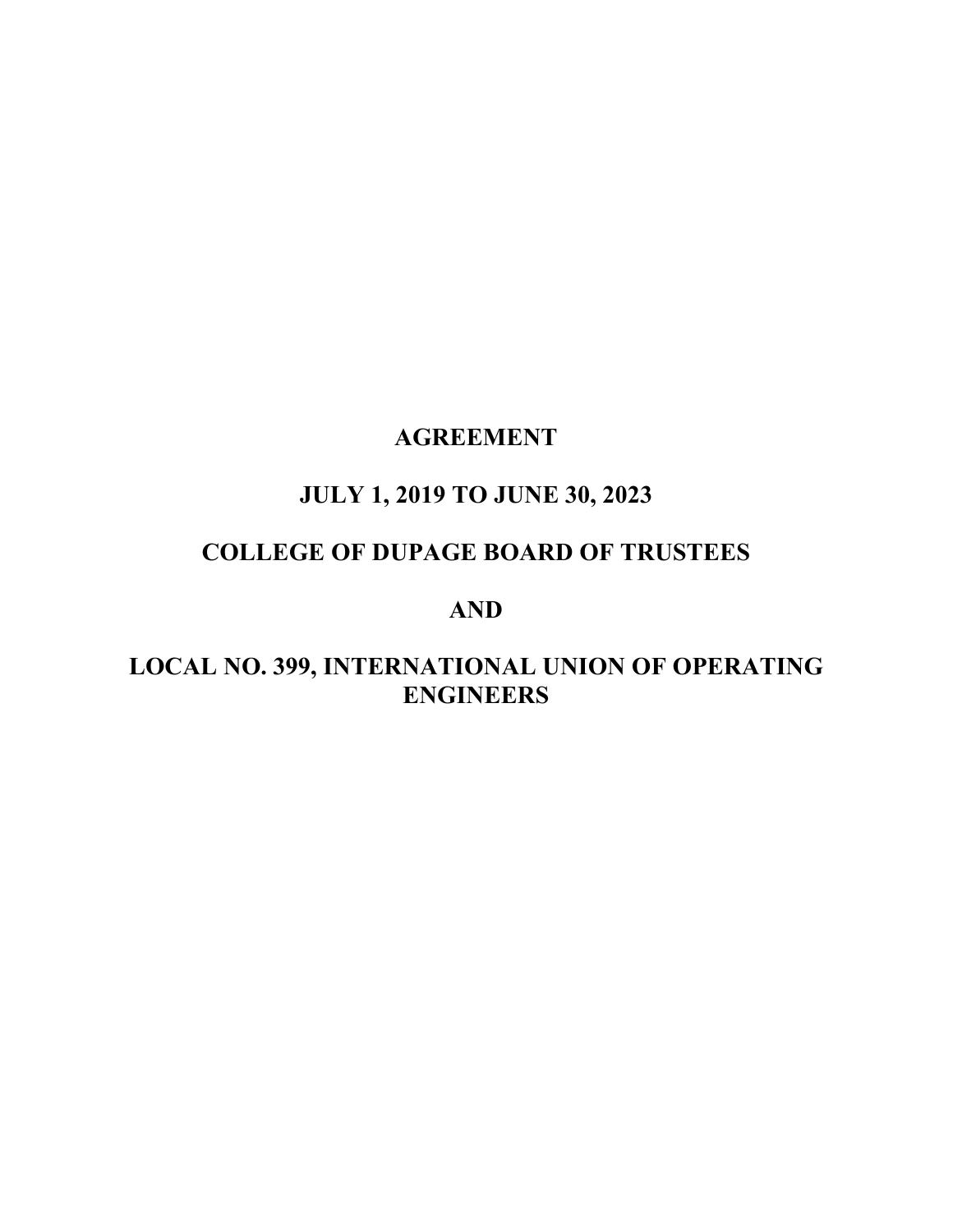# **AGREEMENT**

# **JULY 1, 2019 TO JUNE 30, 2023**

## **COLLEGE OF DUPAGE BOARD OF TRUSTEES**

## **AND**

# **LOCAL NO. 399, INTERNATIONAL UNION OF OPERATING ENGINEERS**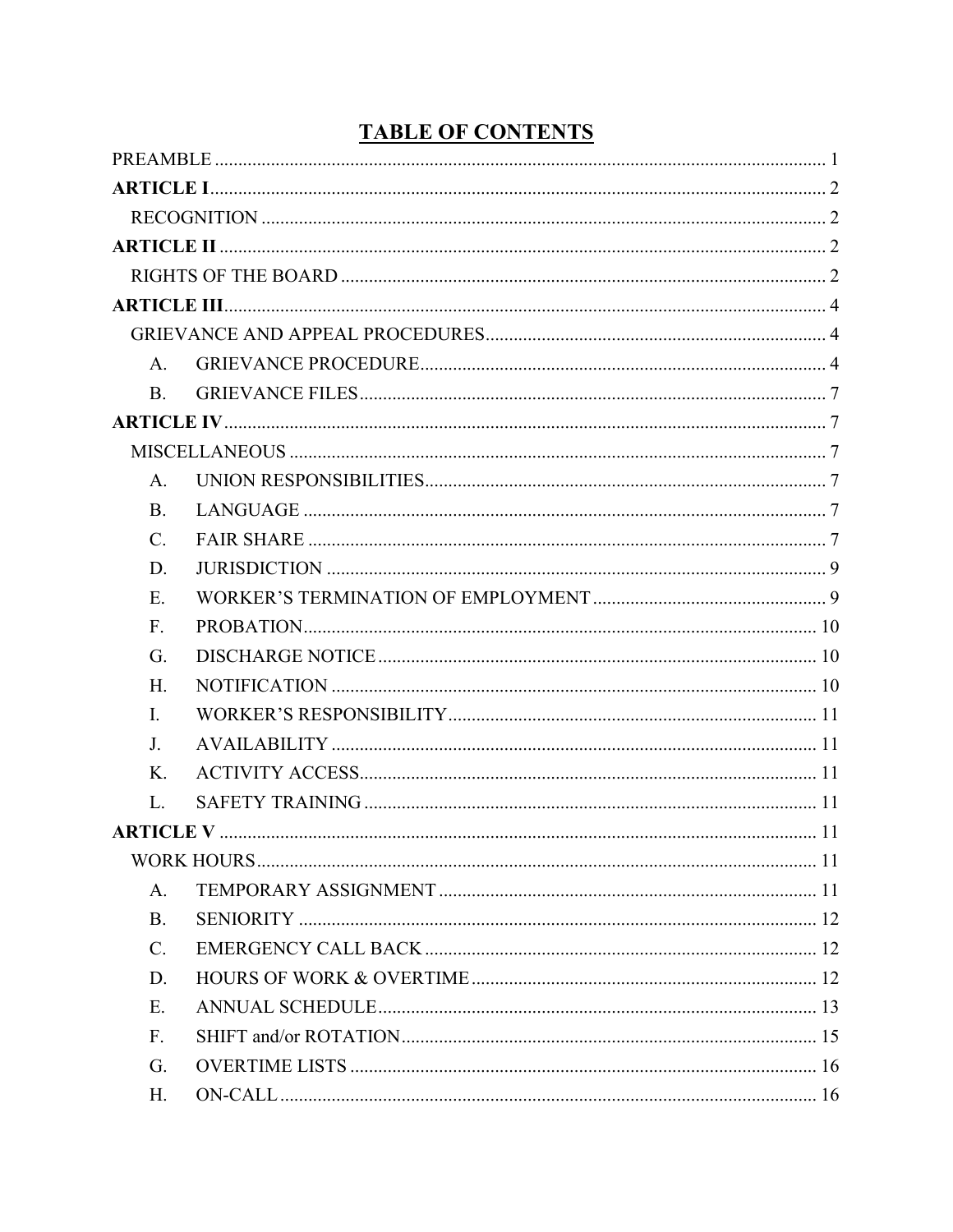| $A_{\cdot}$     |  |
|-----------------|--|
| <b>B.</b>       |  |
|                 |  |
|                 |  |
| $A_{\cdot}$     |  |
| <b>B.</b>       |  |
| $\mathcal{C}$ . |  |
| D.              |  |
| E.              |  |
| F.              |  |
| G.              |  |
| H.              |  |
| I.              |  |
| J.              |  |
| Κ.              |  |
| L.              |  |
|                 |  |
|                 |  |
| A.              |  |
| <b>B.</b>       |  |
| $\mathbf{C}$ .  |  |
| D.              |  |
| Ε.              |  |
| F.              |  |
| G.              |  |
| H.              |  |

# **TABLE OF CONTENTS**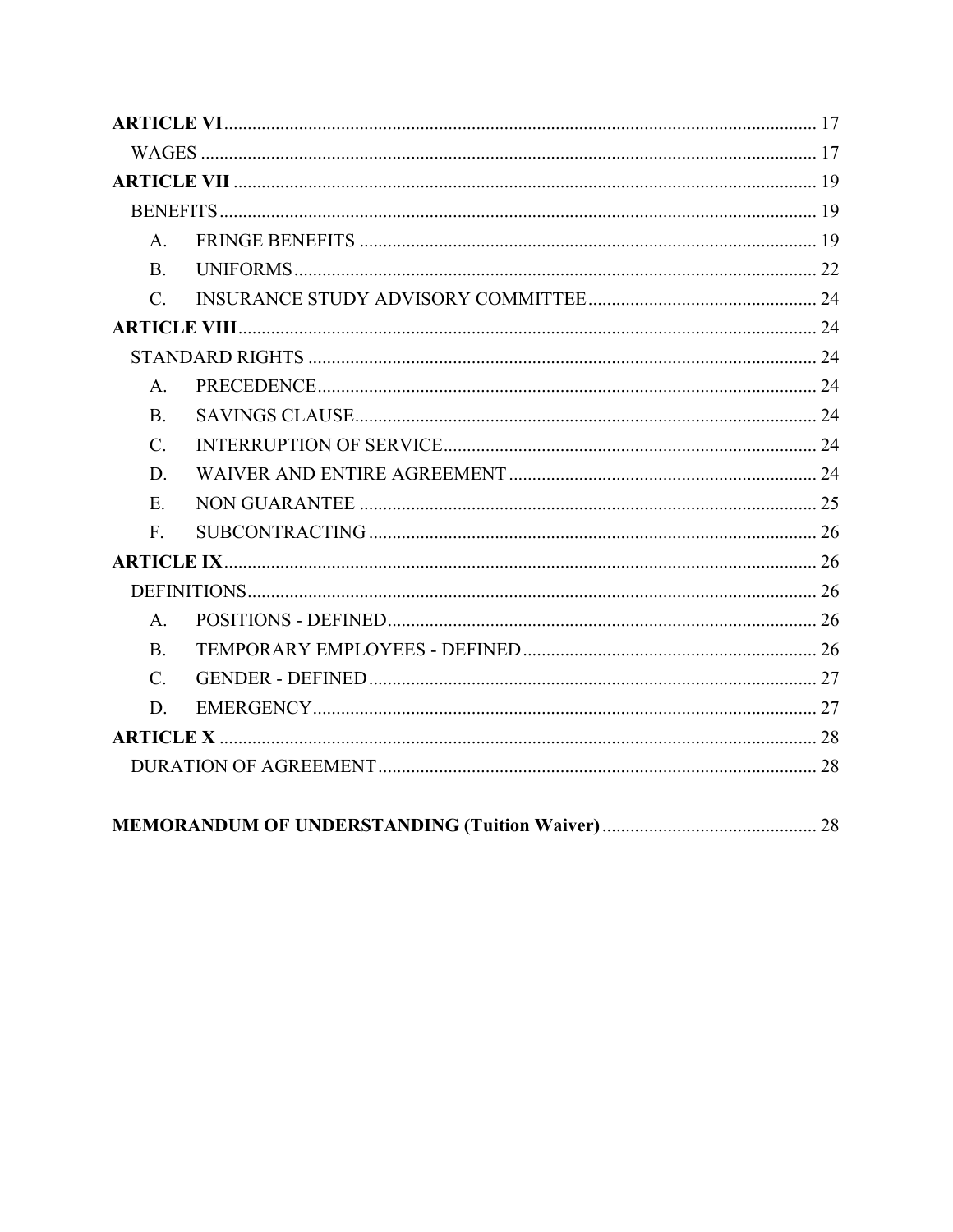| $A_{\cdot}$    |  |
|----------------|--|
|                |  |
| C.             |  |
|                |  |
|                |  |
| A <sub>1</sub> |  |
| <b>B.</b>      |  |
| $C_{\cdot}$    |  |
| D.             |  |
| $E_{\rm{L}}$   |  |
| $F_{\cdot}$    |  |
|                |  |
|                |  |
| $A_{\cdot}$    |  |
| B <sub>1</sub> |  |
| $C_{\cdot}$    |  |
| D.             |  |
|                |  |
|                |  |
|                |  |
|                |  |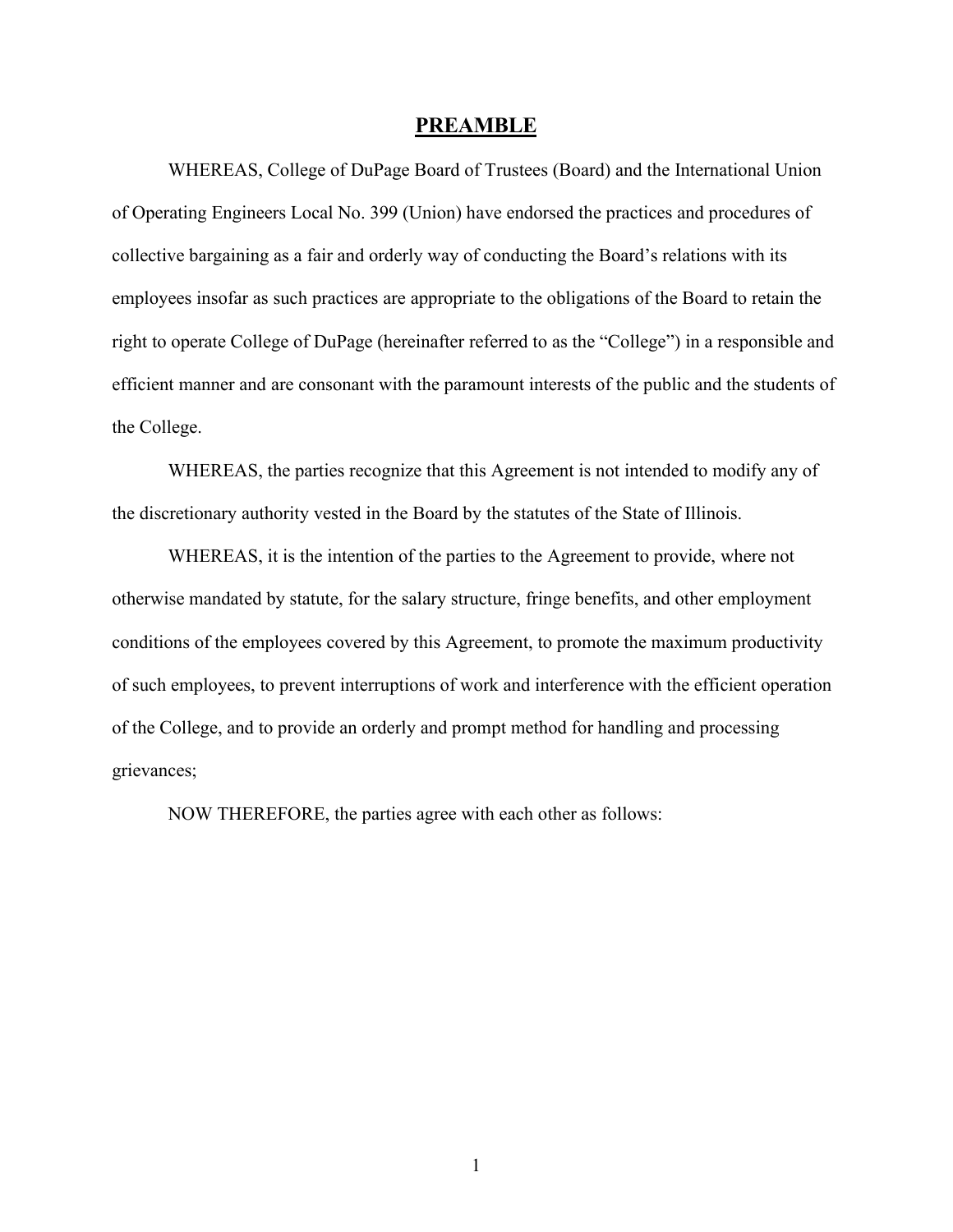#### **PREAMBLE**

<span id="page-3-0"></span>WHEREAS, College of DuPage Board of Trustees (Board) and the International Union of Operating Engineers Local No. 399 (Union) have endorsed the practices and procedures of collective bargaining as a fair and orderly way of conducting the Board's relations with its employees insofar as such practices are appropriate to the obligations of the Board to retain the right to operate College of DuPage (hereinafter referred to as the "College") in a responsible and efficient manner and are consonant with the paramount interests of the public and the students of the College.

WHEREAS, the parties recognize that this Agreement is not intended to modify any of the discretionary authority vested in the Board by the statutes of the State of Illinois.

WHEREAS, it is the intention of the parties to the Agreement to provide, where not otherwise mandated by statute, for the salary structure, fringe benefits, and other employment conditions of the employees covered by this Agreement, to promote the maximum productivity of such employees, to prevent interruptions of work and interference with the efficient operation of the College, and to provide an orderly and prompt method for handling and processing grievances;

NOW THEREFORE, the parties agree with each other as follows: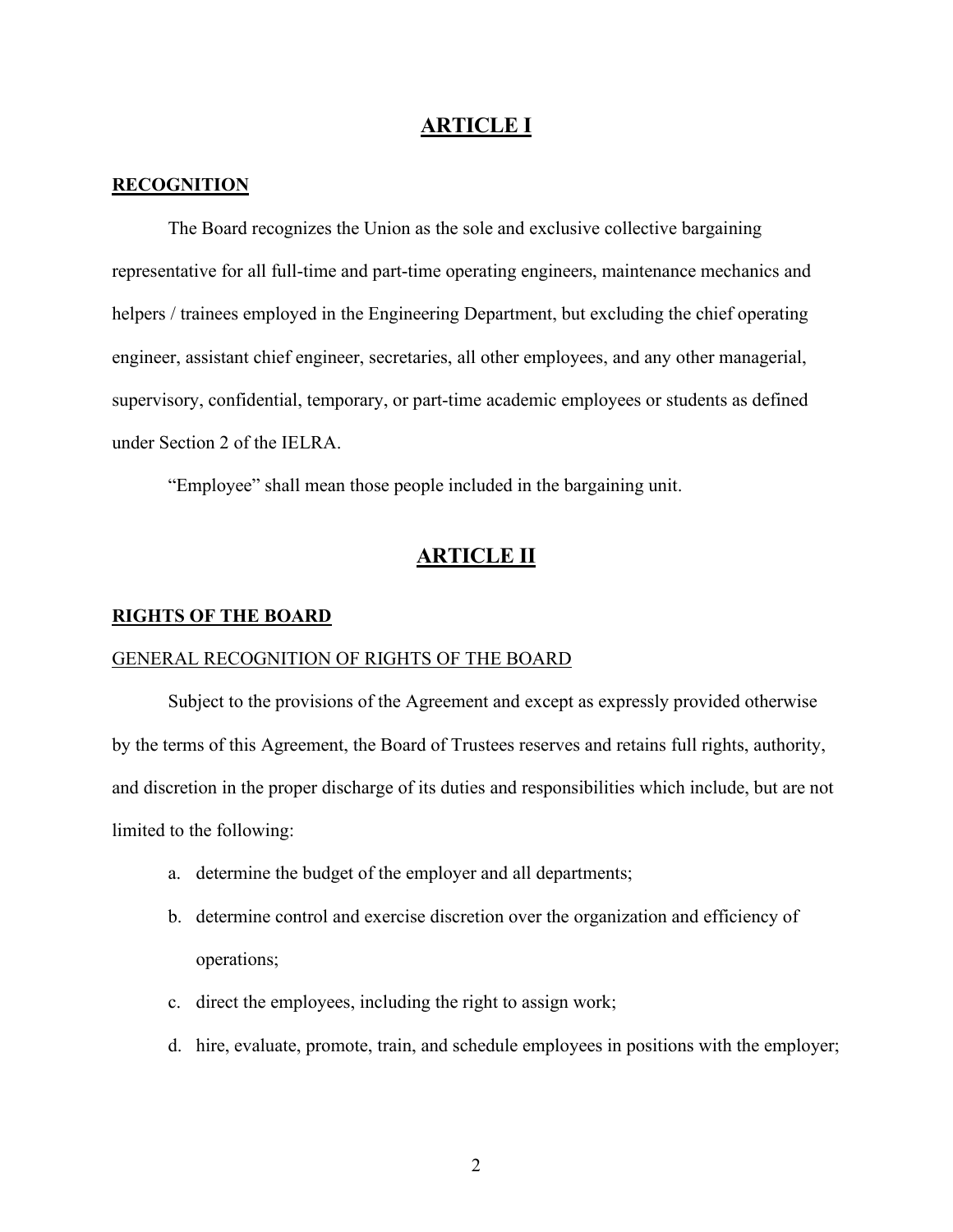## **ARTICLE I**

#### <span id="page-4-1"></span><span id="page-4-0"></span>**RECOGNITION**

The Board recognizes the Union as the sole and exclusive collective bargaining representative for all full-time and part-time operating engineers, maintenance mechanics and helpers / trainees employed in the Engineering Department, but excluding the chief operating engineer, assistant chief engineer, secretaries, all other employees, and any other managerial, supervisory, confidential, temporary, or part-time academic employees or students as defined under Section 2 of the IELRA.

"Employee" shall mean those people included in the bargaining unit.

## **ARTICLE II**

#### <span id="page-4-3"></span><span id="page-4-2"></span>**RIGHTS OF THE BOARD**

## GENERAL RECOGNITION OF RIGHTS OF THE BOARD

Subject to the provisions of the Agreement and except as expressly provided otherwise by the terms of this Agreement, the Board of Trustees reserves and retains full rights, authority, and discretion in the proper discharge of its duties and responsibilities which include, but are not limited to the following:

- a. determine the budget of the employer and all departments;
- b. determine control and exercise discretion over the organization and efficiency of operations;
- c. direct the employees, including the right to assign work;
- d. hire, evaluate, promote, train, and schedule employees in positions with the employer;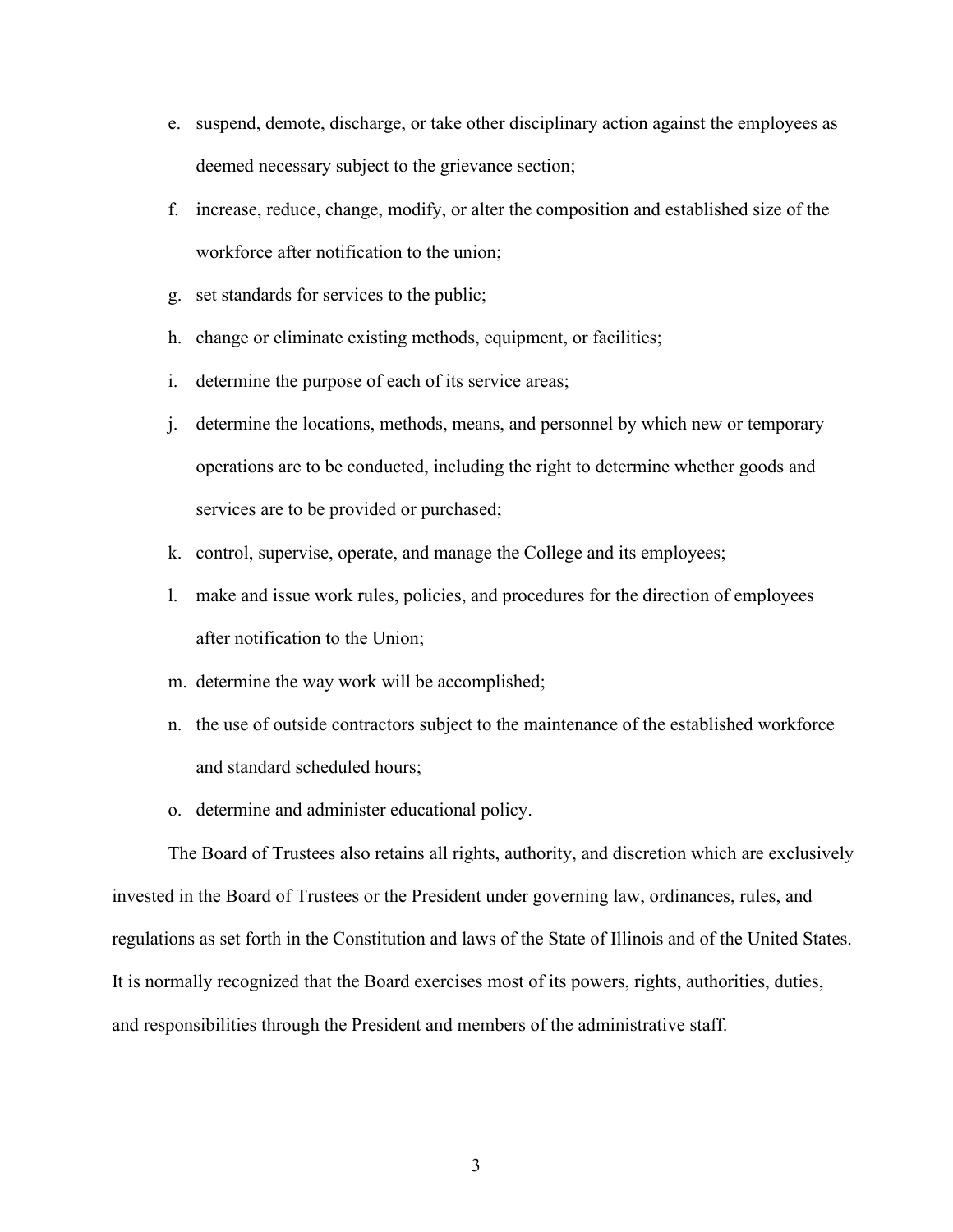- e. suspend, demote, discharge, or take other disciplinary action against the employees as deemed necessary subject to the grievance section;
- f. increase, reduce, change, modify, or alter the composition and established size of the workforce after notification to the union;
- g. set standards for services to the public;
- h. change or eliminate existing methods, equipment, or facilities;
- i. determine the purpose of each of its service areas;
- j. determine the locations, methods, means, and personnel by which new or temporary operations are to be conducted, including the right to determine whether goods and services are to be provided or purchased;
- k. control, supervise, operate, and manage the College and its employees;
- l. make and issue work rules, policies, and procedures for the direction of employees after notification to the Union;
- m. determine the way work will be accomplished;
- n. the use of outside contractors subject to the maintenance of the established workforce and standard scheduled hours;
- o. determine and administer educational policy.

The Board of Trustees also retains all rights, authority, and discretion which are exclusively invested in the Board of Trustees or the President under governing law, ordinances, rules, and regulations as set forth in the Constitution and laws of the State of Illinois and of the United States. It is normally recognized that the Board exercises most of its powers, rights, authorities, duties, and responsibilities through the President and members of the administrative staff.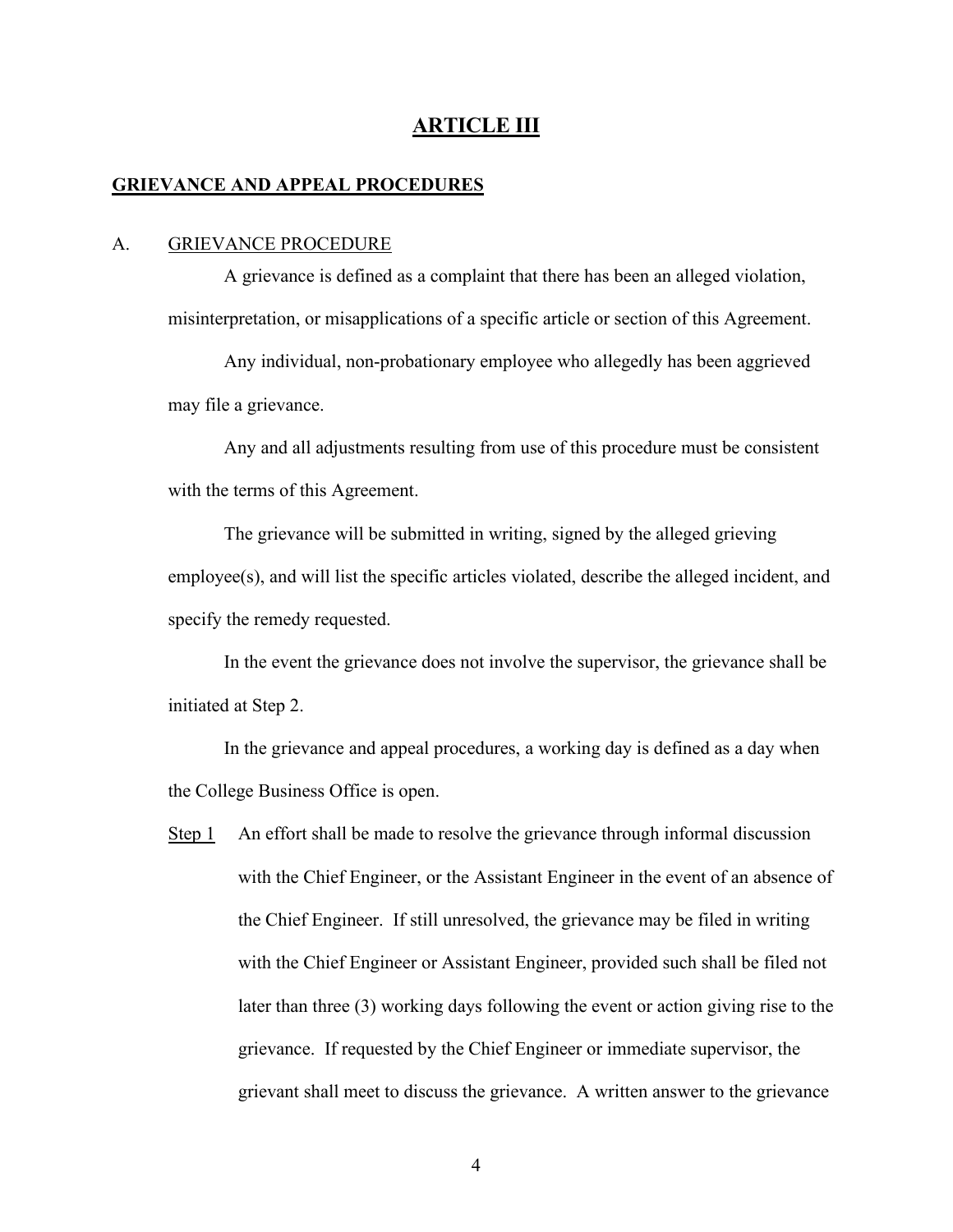## **ARTICLE III**

#### <span id="page-6-1"></span><span id="page-6-0"></span>**GRIEVANCE AND APPEAL PROCEDURES**

#### <span id="page-6-2"></span>A. GRIEVANCE PROCEDURE

A grievance is defined as a complaint that there has been an alleged violation, misinterpretation, or misapplications of a specific article or section of this Agreement.

Any individual, non-probationary employee who allegedly has been aggrieved may file a grievance.

Any and all adjustments resulting from use of this procedure must be consistent with the terms of this Agreement.

The grievance will be submitted in writing, signed by the alleged grieving employee(s), and will list the specific articles violated, describe the alleged incident, and specify the remedy requested.

In the event the grievance does not involve the supervisor, the grievance shall be initiated at Step 2.

In the grievance and appeal procedures, a working day is defined as a day when the College Business Office is open.

Step 1 An effort shall be made to resolve the grievance through informal discussion with the Chief Engineer, or the Assistant Engineer in the event of an absence of the Chief Engineer. If still unresolved, the grievance may be filed in writing with the Chief Engineer or Assistant Engineer, provided such shall be filed not later than three (3) working days following the event or action giving rise to the grievance. If requested by the Chief Engineer or immediate supervisor, the grievant shall meet to discuss the grievance. A written answer to the grievance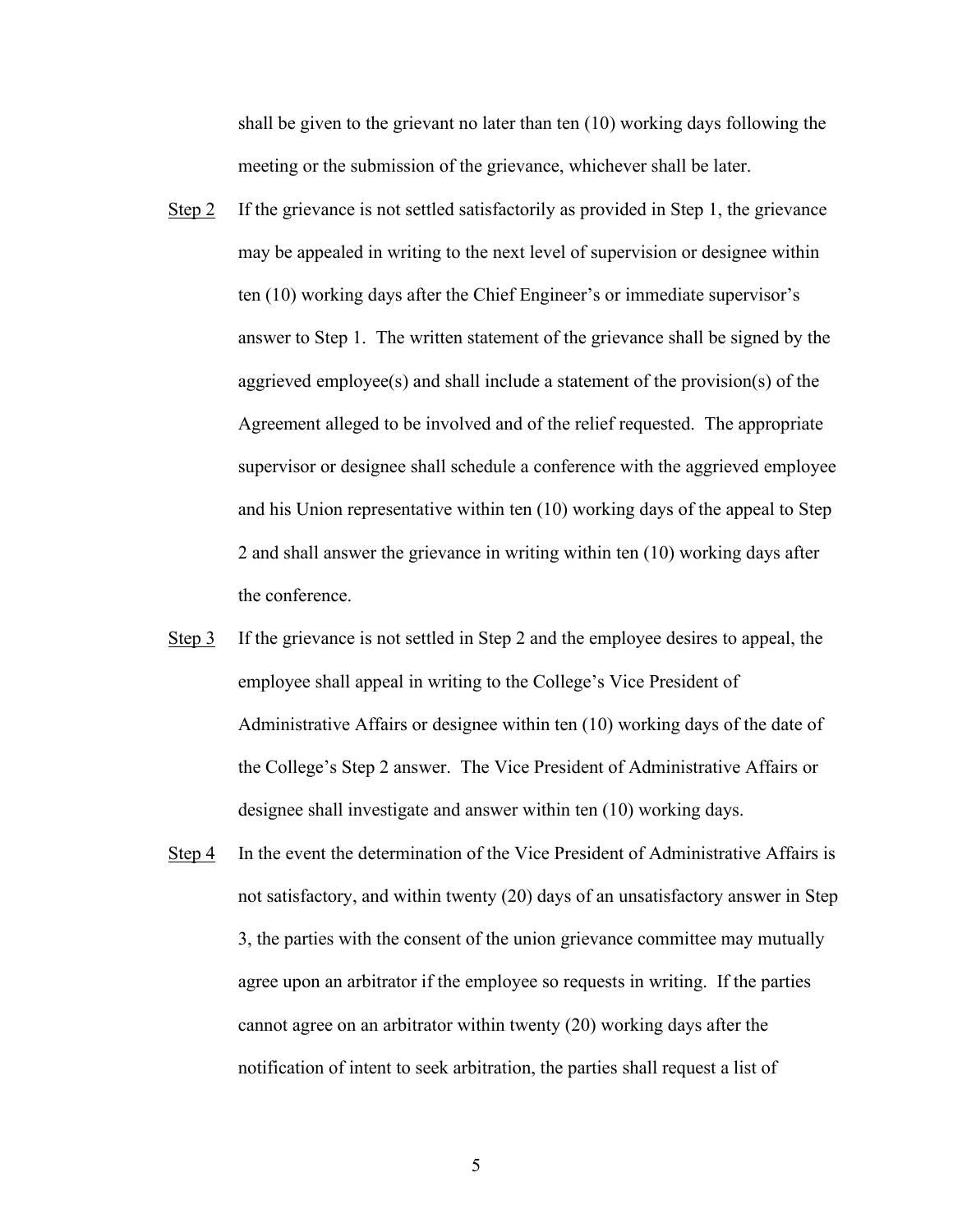shall be given to the grievant no later than ten (10) working days following the meeting or the submission of the grievance, whichever shall be later.

- Step 2 If the grievance is not settled satisfactorily as provided in Step 1, the grievance may be appealed in writing to the next level of supervision or designee within ten (10) working days after the Chief Engineer's or immediate supervisor's answer to Step 1. The written statement of the grievance shall be signed by the aggrieved employee(s) and shall include a statement of the provision(s) of the Agreement alleged to be involved and of the relief requested. The appropriate supervisor or designee shall schedule a conference with the aggrieved employee and his Union representative within ten (10) working days of the appeal to Step 2 and shall answer the grievance in writing within ten (10) working days after the conference.
- Step 3 If the grievance is not settled in Step 2 and the employee desires to appeal, the employee shall appeal in writing to the College's Vice President of Administrative Affairs or designee within ten (10) working days of the date of the College's Step 2 answer. The Vice President of Administrative Affairs or designee shall investigate and answer within ten (10) working days.
- Step 4 In the event the determination of the Vice President of Administrative Affairs is not satisfactory, and within twenty (20) days of an unsatisfactory answer in Step 3, the parties with the consent of the union grievance committee may mutually agree upon an arbitrator if the employee so requests in writing. If the parties cannot agree on an arbitrator within twenty (20) working days after the notification of intent to seek arbitration, the parties shall request a list of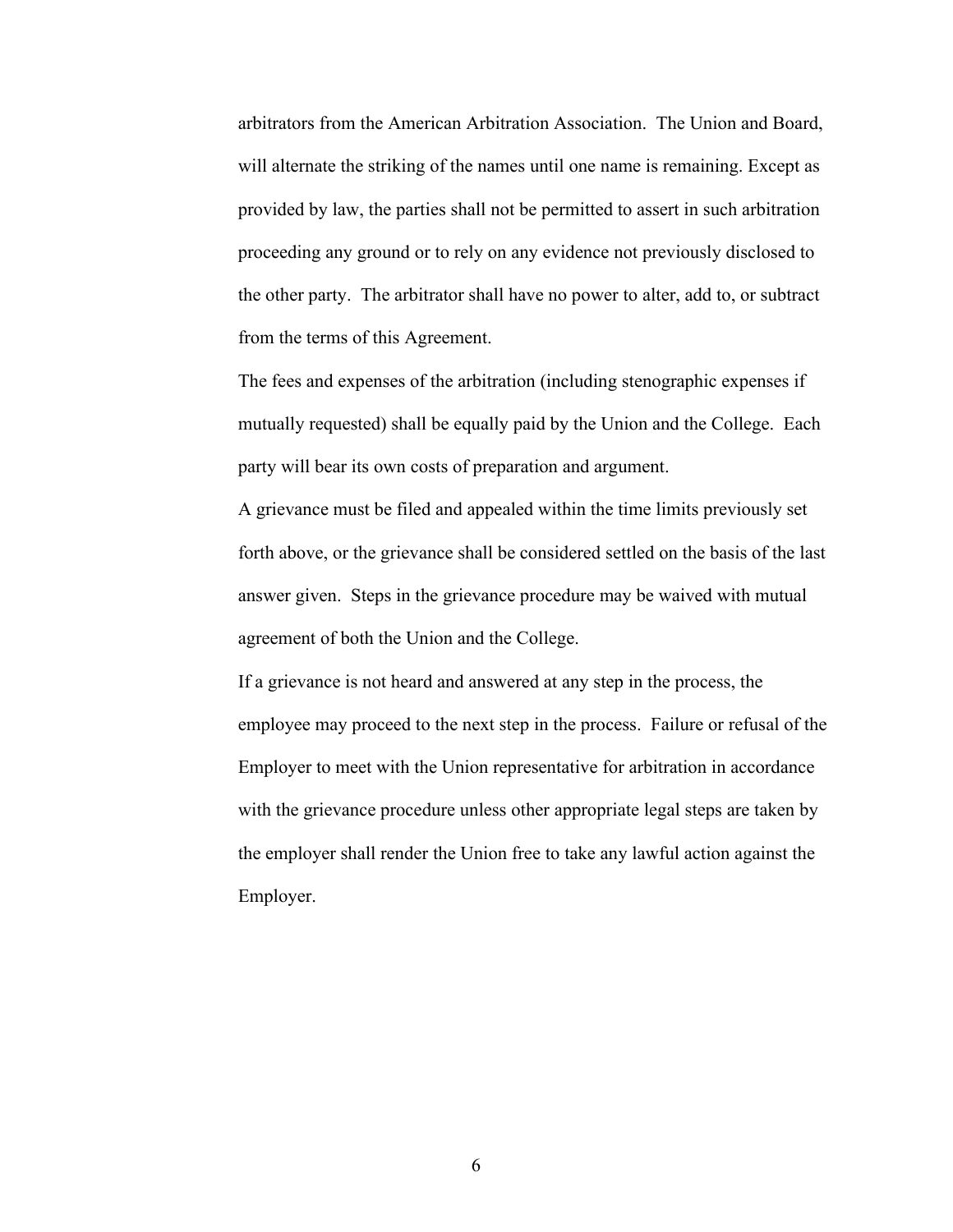arbitrators from the American Arbitration Association. The Union and Board, will alternate the striking of the names until one name is remaining. Except as provided by law, the parties shall not be permitted to assert in such arbitration proceeding any ground or to rely on any evidence not previously disclosed to the other party. The arbitrator shall have no power to alter, add to, or subtract from the terms of this Agreement.

The fees and expenses of the arbitration (including stenographic expenses if mutually requested) shall be equally paid by the Union and the College. Each party will bear its own costs of preparation and argument.

A grievance must be filed and appealed within the time limits previously set forth above, or the grievance shall be considered settled on the basis of the last answer given. Steps in the grievance procedure may be waived with mutual agreement of both the Union and the College.

If a grievance is not heard and answered at any step in the process, the employee may proceed to the next step in the process. Failure or refusal of the Employer to meet with the Union representative for arbitration in accordance with the grievance procedure unless other appropriate legal steps are taken by the employer shall render the Union free to take any lawful action against the Employer.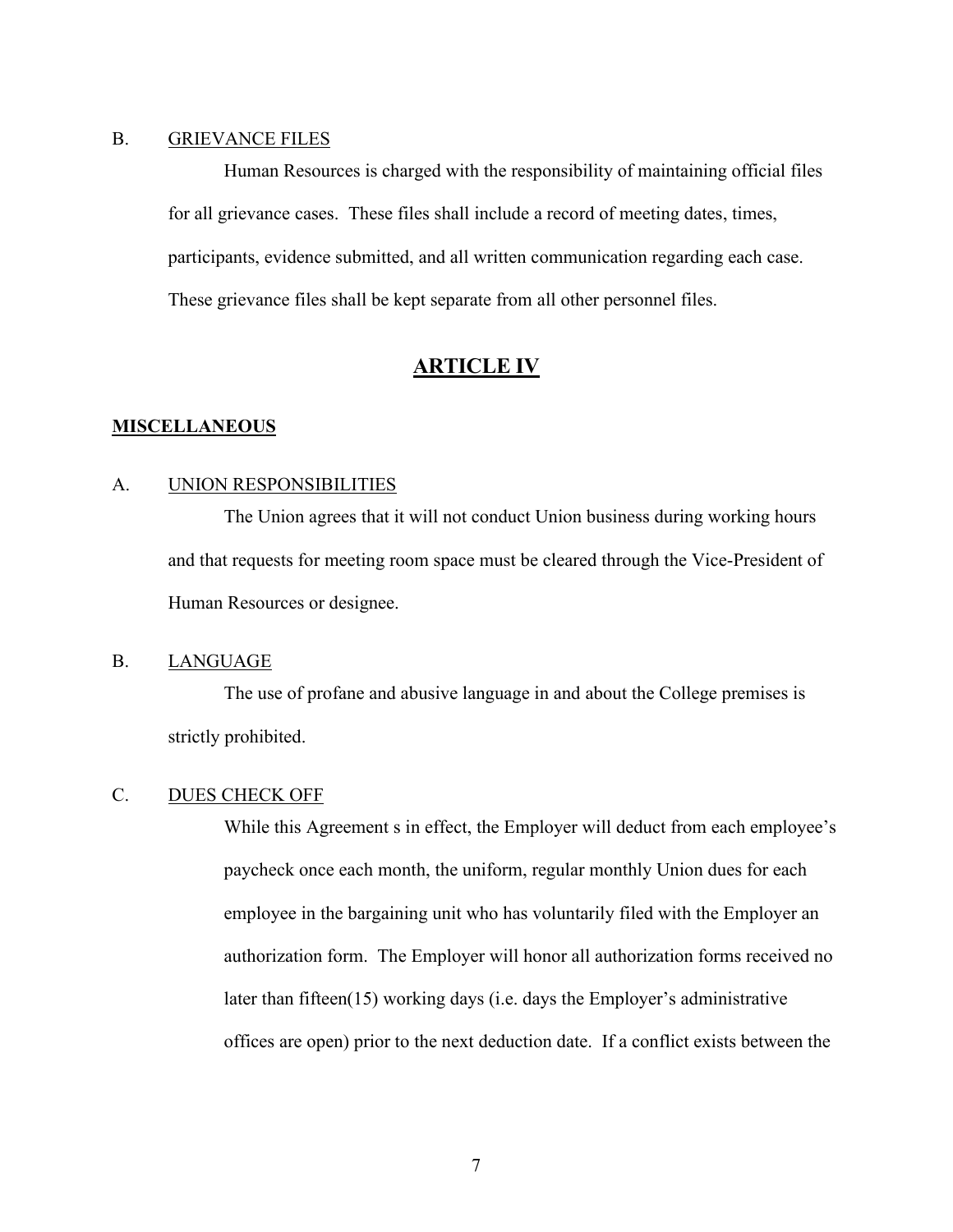### <span id="page-9-0"></span>B. GRIEVANCE FILES

Human Resources is charged with the responsibility of maintaining official files for all grievance cases. These files shall include a record of meeting dates, times, participants, evidence submitted, and all written communication regarding each case. These grievance files shall be kept separate from all other personnel files.

## **ARTICLE IV**

#### <span id="page-9-2"></span><span id="page-9-1"></span>**MISCELLANEOUS**

#### <span id="page-9-3"></span>A. UNION RESPONSIBILITIES

The Union agrees that it will not conduct Union business during working hours and that requests for meeting room space must be cleared through the Vice-President of Human Resources or designee.

#### <span id="page-9-4"></span>B. LANGUAGE

The use of profane and abusive language in and about the College premises is strictly prohibited.

## <span id="page-9-5"></span>C. DUES CHECK OFF

While this Agreement s in effect, the Employer will deduct from each employee's paycheck once each month, the uniform, regular monthly Union dues for each employee in the bargaining unit who has voluntarily filed with the Employer an authorization form. The Employer will honor all authorization forms received no later than fifteen(15) working days (i.e. days the Employer's administrative offices are open) prior to the next deduction date. If a conflict exists between the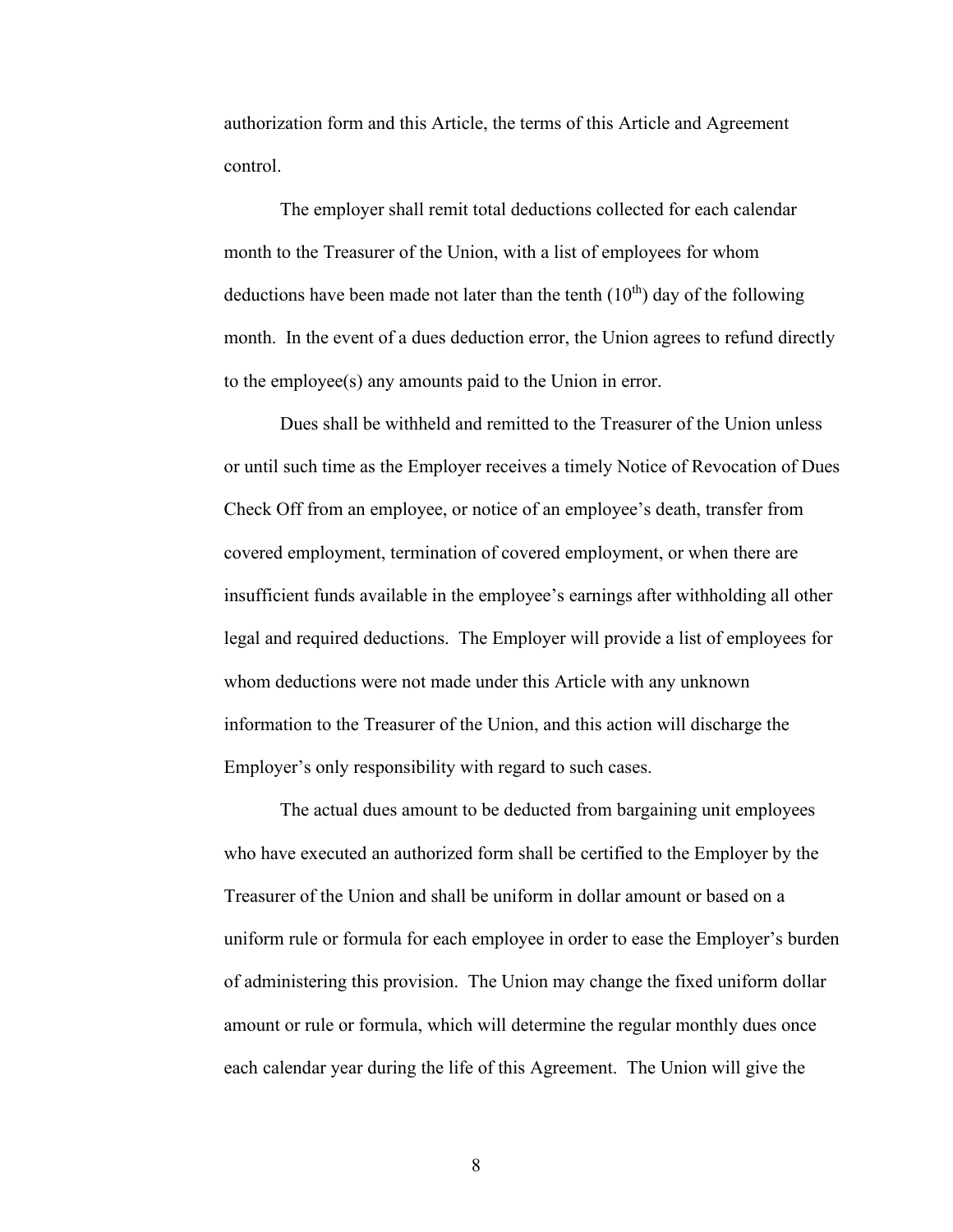authorization form and this Article, the terms of this Article and Agreement control.

The employer shall remit total deductions collected for each calendar month to the Treasurer of the Union, with a list of employees for whom deductions have been made not later than the tenth  $(10<sup>th</sup>)$  day of the following month. In the event of a dues deduction error, the Union agrees to refund directly to the employee(s) any amounts paid to the Union in error.

Dues shall be withheld and remitted to the Treasurer of the Union unless or until such time as the Employer receives a timely Notice of Revocation of Dues Check Off from an employee, or notice of an employee's death, transfer from covered employment, termination of covered employment, or when there are insufficient funds available in the employee's earnings after withholding all other legal and required deductions. The Employer will provide a list of employees for whom deductions were not made under this Article with any unknown information to the Treasurer of the Union, and this action will discharge the Employer's only responsibility with regard to such cases.

The actual dues amount to be deducted from bargaining unit employees who have executed an authorized form shall be certified to the Employer by the Treasurer of the Union and shall be uniform in dollar amount or based on a uniform rule or formula for each employee in order to ease the Employer's burden of administering this provision. The Union may change the fixed uniform dollar amount or rule or formula, which will determine the regular monthly dues once each calendar year during the life of this Agreement. The Union will give the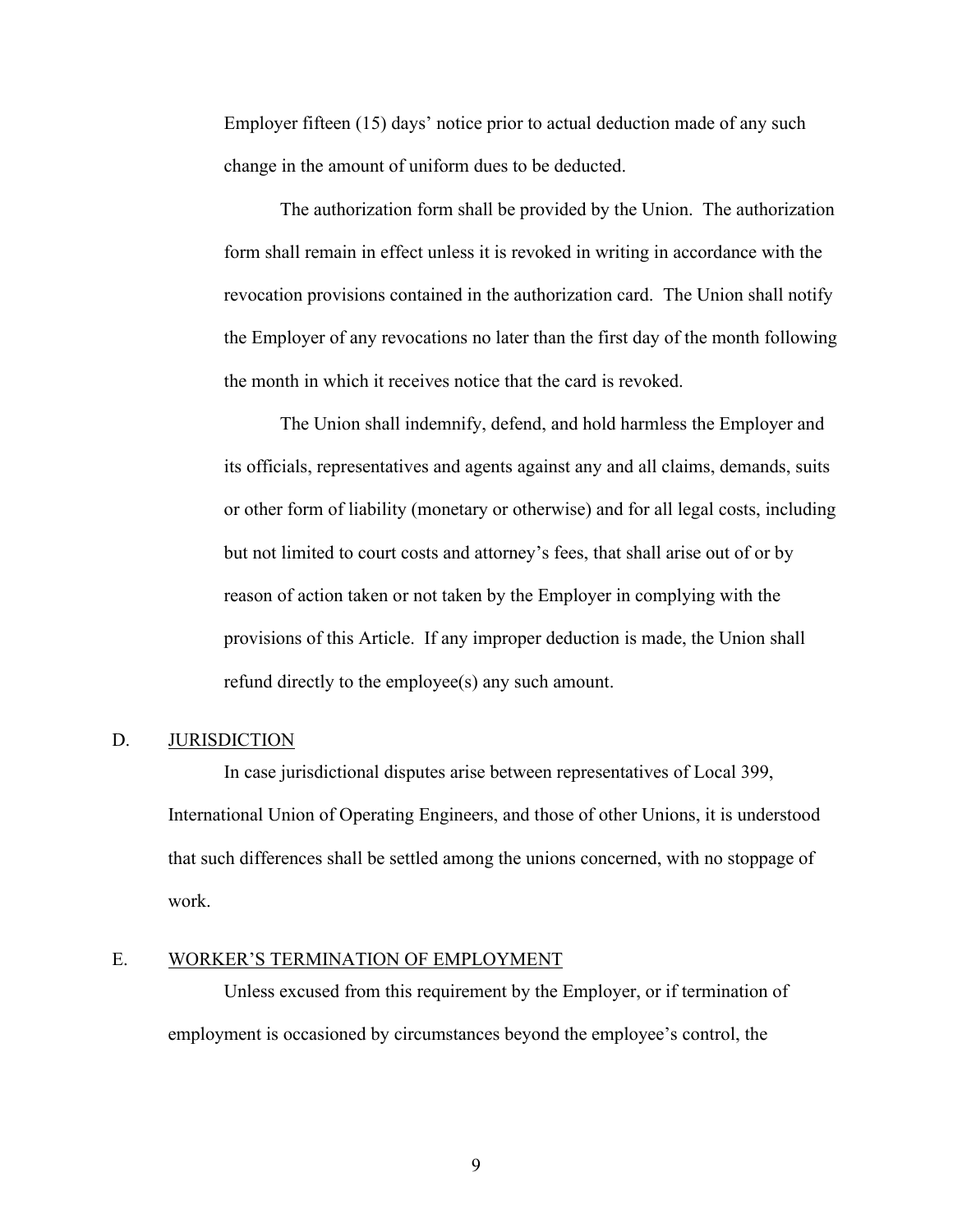Employer fifteen (15) days' notice prior to actual deduction made of any such change in the amount of uniform dues to be deducted.

The authorization form shall be provided by the Union. The authorization form shall remain in effect unless it is revoked in writing in accordance with the revocation provisions contained in the authorization card. The Union shall notify the Employer of any revocations no later than the first day of the month following the month in which it receives notice that the card is revoked.

The Union shall indemnify, defend, and hold harmless the Employer and its officials, representatives and agents against any and all claims, demands, suits or other form of liability (monetary or otherwise) and for all legal costs, including but not limited to court costs and attorney's fees, that shall arise out of or by reason of action taken or not taken by the Employer in complying with the provisions of this Article. If any improper deduction is made, the Union shall refund directly to the employee(s) any such amount.

#### <span id="page-11-0"></span>D. JURISDICTION

In case jurisdictional disputes arise between representatives of Local 399, International Union of Operating Engineers, and those of other Unions, it is understood that such differences shall be settled among the unions concerned, with no stoppage of work.

#### <span id="page-11-1"></span>E. WORKER'S TERMINATION OF EMPLOYMENT

Unless excused from this requirement by the Employer, or if termination of employment is occasioned by circumstances beyond the employee's control, the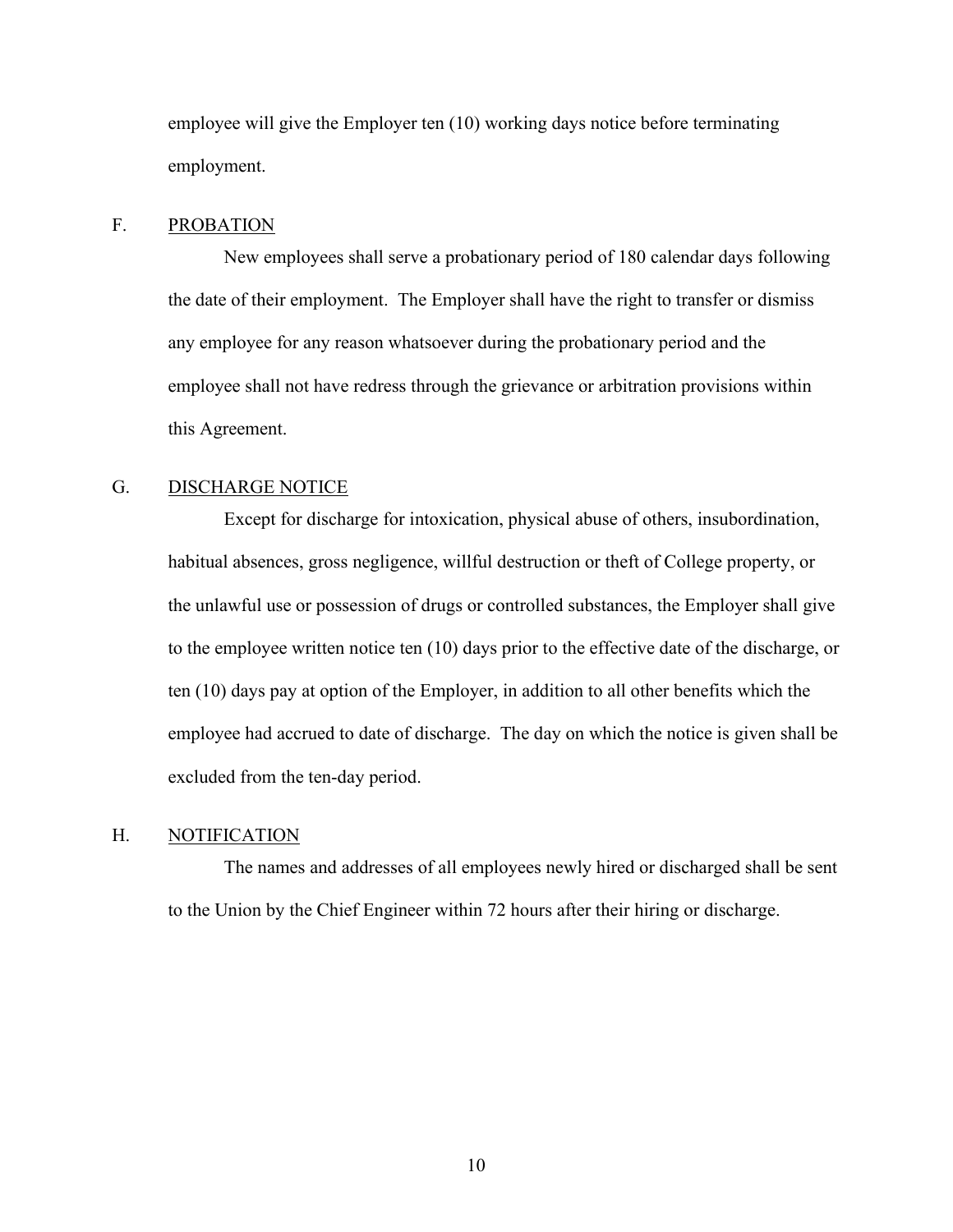employee will give the Employer ten (10) working days notice before terminating employment.

### <span id="page-12-0"></span>F. PROBATION

New employees shall serve a probationary period of 180 calendar days following the date of their employment. The Employer shall have the right to transfer or dismiss any employee for any reason whatsoever during the probationary period and the employee shall not have redress through the grievance or arbitration provisions within this Agreement.

## <span id="page-12-1"></span>G. DISCHARGE NOTICE

Except for discharge for intoxication, physical abuse of others, insubordination, habitual absences, gross negligence, willful destruction or theft of College property, or the unlawful use or possession of drugs or controlled substances, the Employer shall give to the employee written notice ten (10) days prior to the effective date of the discharge, or ten (10) days pay at option of the Employer, in addition to all other benefits which the employee had accrued to date of discharge. The day on which the notice is given shall be excluded from the ten-day period.

#### <span id="page-12-2"></span>H. NOTIFICATION

The names and addresses of all employees newly hired or discharged shall be sent to the Union by the Chief Engineer within 72 hours after their hiring or discharge.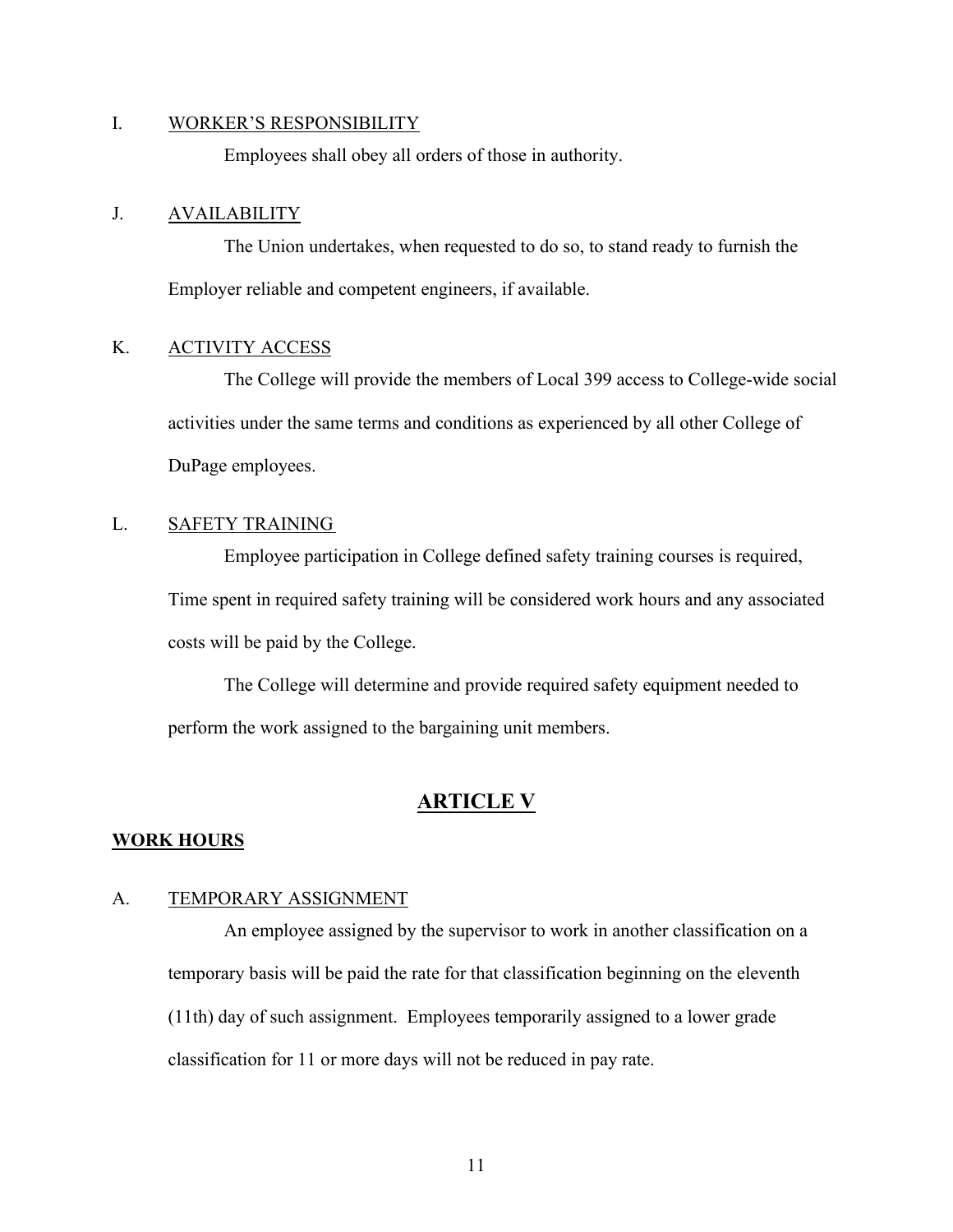#### <span id="page-13-0"></span>I. WORKER'S RESPONSIBILITY

Employees shall obey all orders of those in authority.

### <span id="page-13-1"></span>J. AVAILABILITY

The Union undertakes, when requested to do so, to stand ready to furnish the Employer reliable and competent engineers, if available.

## <span id="page-13-2"></span>K. ACTIVITY ACCESS

The College will provide the members of Local 399 access to College-wide social activities under the same terms and conditions as experienced by all other College of DuPage employees.

## <span id="page-13-3"></span>L. SAFETY TRAINING

Employee participation in College defined safety training courses is required, Time spent in required safety training will be considered work hours and any associated costs will be paid by the College.

The College will determine and provide required safety equipment needed to perform the work assigned to the bargaining unit members.

## **ARTICLE V**

#### <span id="page-13-5"></span><span id="page-13-4"></span>**WORK HOURS**

#### <span id="page-13-6"></span>A. TEMPORARY ASSIGNMENT

An employee assigned by the supervisor to work in another classification on a temporary basis will be paid the rate for that classification beginning on the eleventh (11th) day of such assignment. Employees temporarily assigned to a lower grade classification for 11 or more days will not be reduced in pay rate.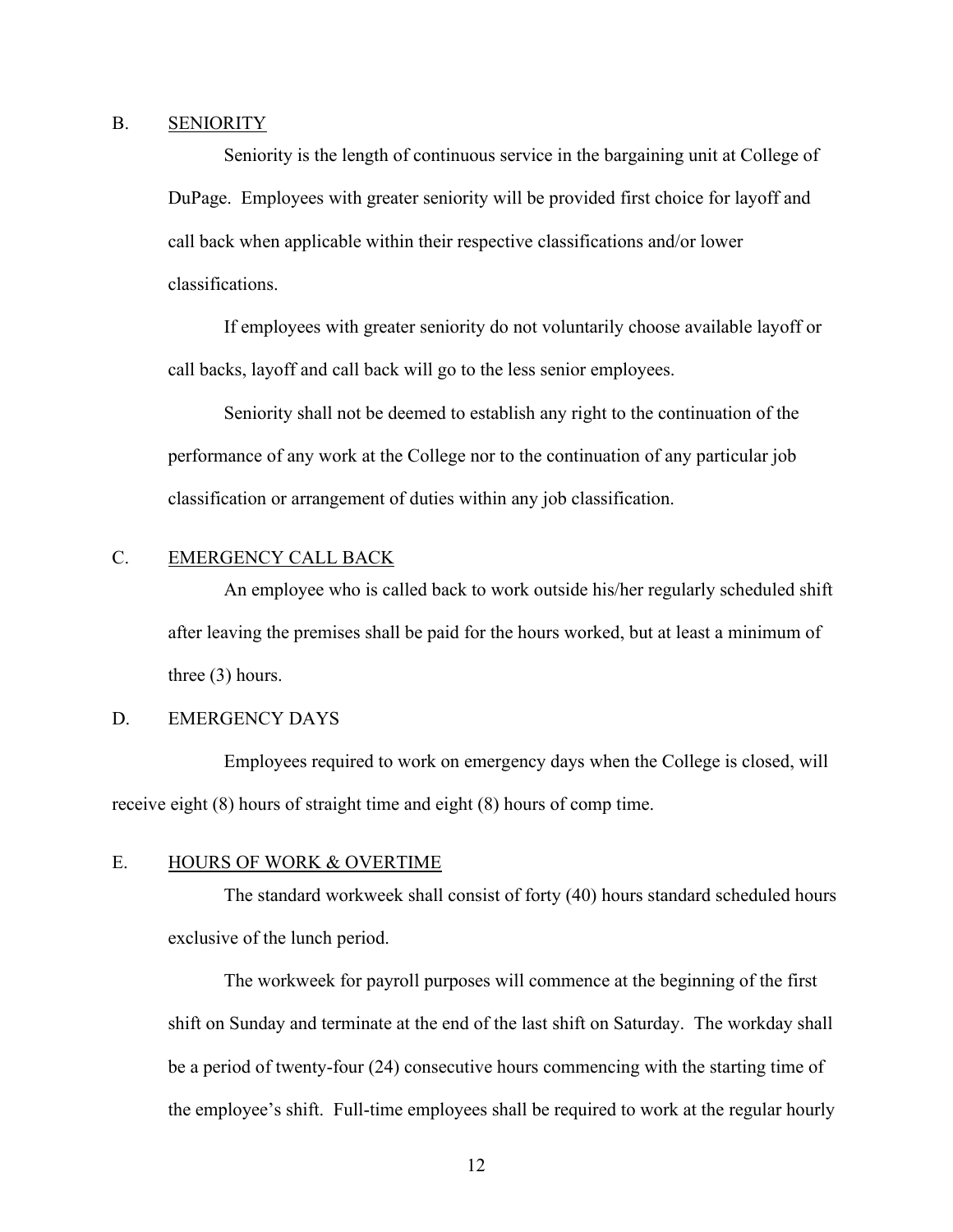#### <span id="page-14-0"></span>B. SENIORITY

Seniority is the length of continuous service in the bargaining unit at College of DuPage. Employees with greater seniority will be provided first choice for layoff and call back when applicable within their respective classifications and/or lower classifications.

If employees with greater seniority do not voluntarily choose available layoff or call backs, layoff and call back will go to the less senior employees.

Seniority shall not be deemed to establish any right to the continuation of the performance of any work at the College nor to the continuation of any particular job classification or arrangement of duties within any job classification.

## <span id="page-14-1"></span>C. EMERGENCY CALL BACK

An employee who is called back to work outside his/her regularly scheduled shift after leaving the premises shall be paid for the hours worked, but at least a minimum of three (3) hours.

## D. EMERGENCY DAYS

Employees required to work on emergency days when the College is closed, will receive eight (8) hours of straight time and eight (8) hours of comp time.

### <span id="page-14-2"></span>E. HOURS OF WORK & OVERTIME

The standard workweek shall consist of forty (40) hours standard scheduled hours exclusive of the lunch period.

The workweek for payroll purposes will commence at the beginning of the first shift on Sunday and terminate at the end of the last shift on Saturday. The workday shall be a period of twenty-four (24) consecutive hours commencing with the starting time of the employee's shift. Full-time employees shall be required to work at the regular hourly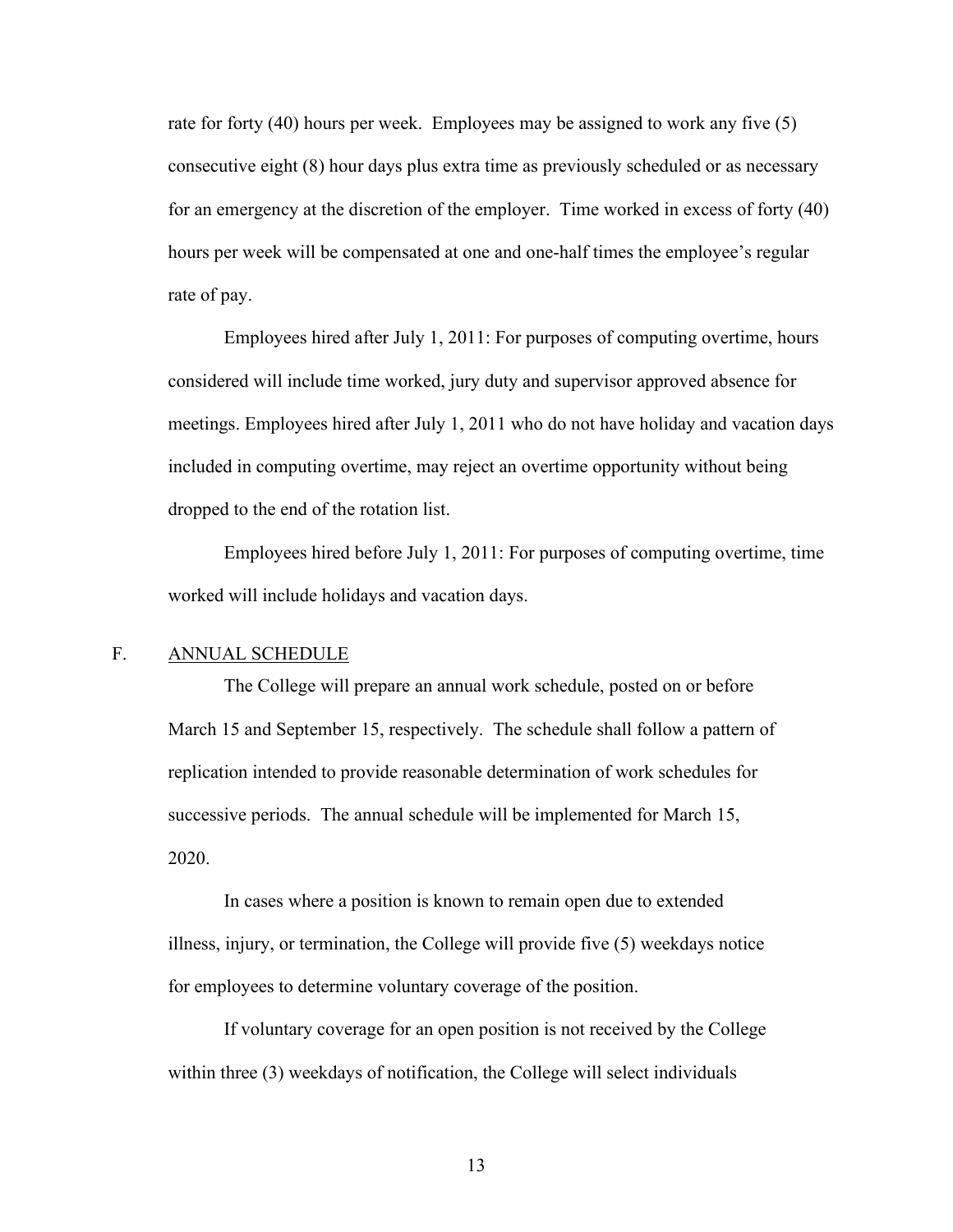rate for forty (40) hours per week. Employees may be assigned to work any five (5) consecutive eight (8) hour days plus extra time as previously scheduled or as necessary for an emergency at the discretion of the employer. Time worked in excess of forty (40) hours per week will be compensated at one and one-half times the employee's regular rate of pay.

Employees hired after July 1, 2011: For purposes of computing overtime, hours considered will include time worked, jury duty and supervisor approved absence for meetings. Employees hired after July 1, 2011 who do not have holiday and vacation days included in computing overtime, may reject an overtime opportunity without being dropped to the end of the rotation list.

 Employees hired before July 1, 2011: For purposes of computing overtime, time worked will include holidays and vacation days.

## <span id="page-15-0"></span>F. ANNUAL SCHEDULE

The College will prepare an annual work schedule, posted on or before March 15 and September 15, respectively. The schedule shall follow a pattern of replication intended to provide reasonable determination of work schedules for successive periods. The annual schedule will be implemented for March 15, 2020.

In cases where a position is known to remain open due to extended illness, injury, or termination, the College will provide five (5) weekdays notice for employees to determine voluntary coverage of the position.

If voluntary coverage for an open position is not received by the College within three (3) weekdays of notification, the College will select individuals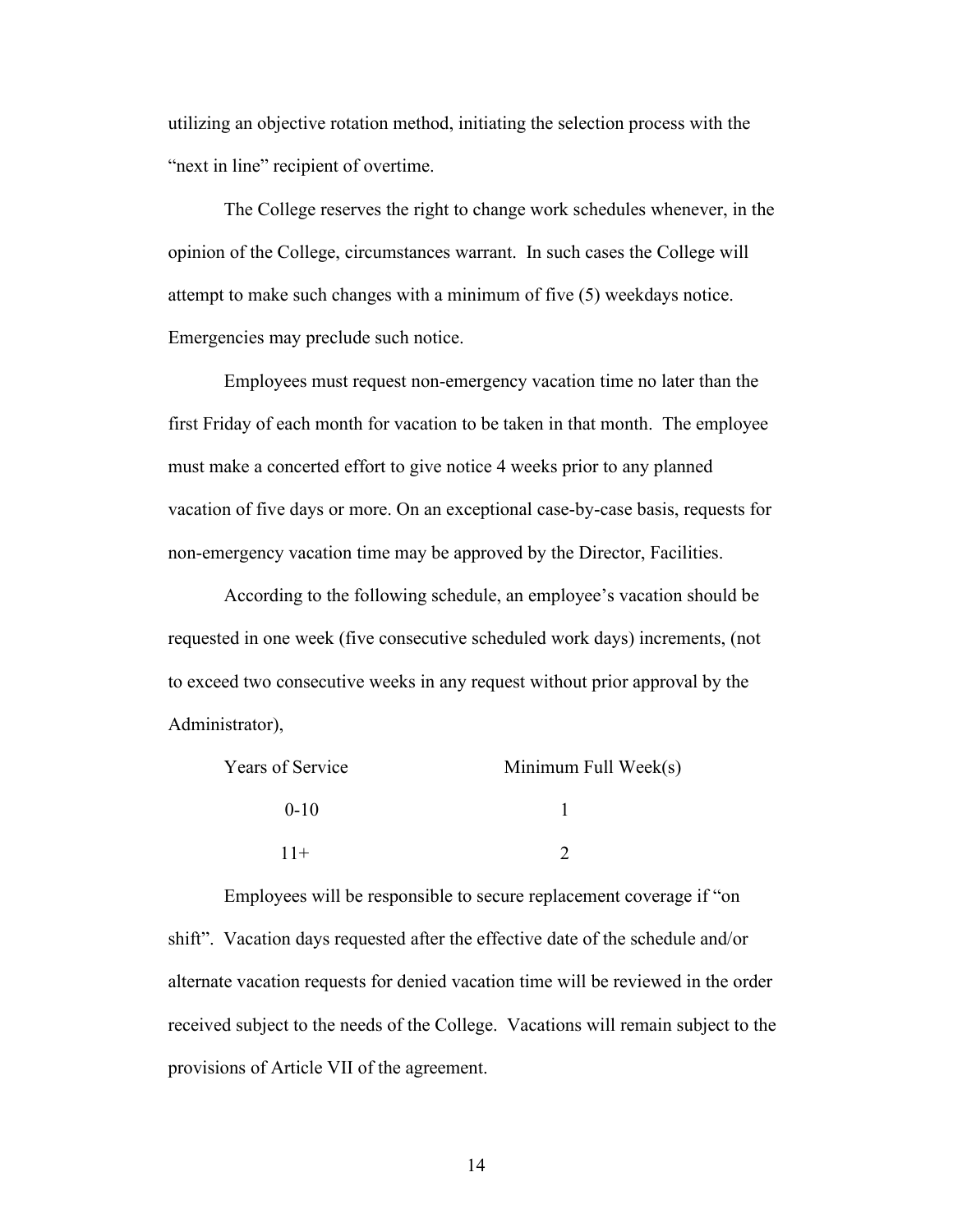utilizing an objective rotation method, initiating the selection process with the "next in line" recipient of overtime.

The College reserves the right to change work schedules whenever, in the opinion of the College, circumstances warrant. In such cases the College will attempt to make such changes with a minimum of five (5) weekdays notice. Emergencies may preclude such notice.

Employees must request non-emergency vacation time no later than the first Friday of each month for vacation to be taken in that month. The employee must make a concerted effort to give notice 4 weeks prior to any planned vacation of five days or more. On an exceptional case-by-case basis, requests for non-emergency vacation time may be approved by the Director, Facilities.

According to the following schedule, an employee's vacation should be requested in one week (five consecutive scheduled work days) increments, (not to exceed two consecutive weeks in any request without prior approval by the Administrator),

| Years of Service | Minimum Full Week $(s)$ |
|------------------|-------------------------|
| $0-10$           |                         |
| $11+$            |                         |

Employees will be responsible to secure replacement coverage if "on shift". Vacation days requested after the effective date of the schedule and/or alternate vacation requests for denied vacation time will be reviewed in the order received subject to the needs of the College. Vacations will remain subject to the provisions of Article VII of the agreement.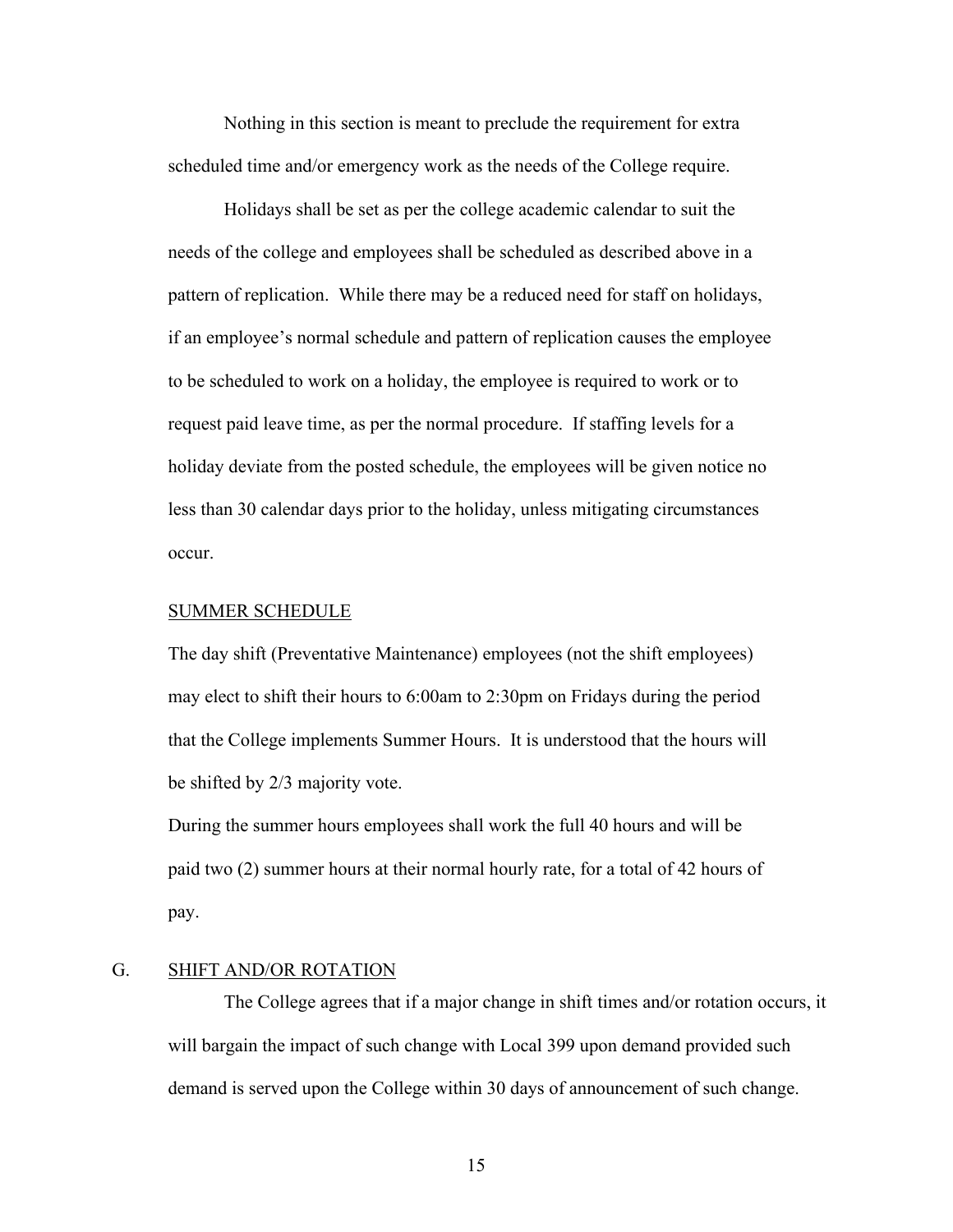Nothing in this section is meant to preclude the requirement for extra scheduled time and/or emergency work as the needs of the College require.

Holidays shall be set as per the college academic calendar to suit the needs of the college and employees shall be scheduled as described above in a pattern of replication. While there may be a reduced need for staff on holidays, if an employee's normal schedule and pattern of replication causes the employee to be scheduled to work on a holiday, the employee is required to work or to request paid leave time, as per the normal procedure. If staffing levels for a holiday deviate from the posted schedule, the employees will be given notice no less than 30 calendar days prior to the holiday, unless mitigating circumstances occur.

#### SUMMER SCHEDULE

The day shift (Preventative Maintenance) employees (not the shift employees) may elect to shift their hours to 6:00am to 2:30pm on Fridays during the period that the College implements Summer Hours. It is understood that the hours will be shifted by 2/3 majority vote.

During the summer hours employees shall work the full 40 hours and will be paid two (2) summer hours at their normal hourly rate, for a total of 42 hours of pay.

#### <span id="page-17-0"></span>G. SHIFT AND/OR ROTATION

The College agrees that if a major change in shift times and/or rotation occurs, it will bargain the impact of such change with Local 399 upon demand provided such demand is served upon the College within 30 days of announcement of such change.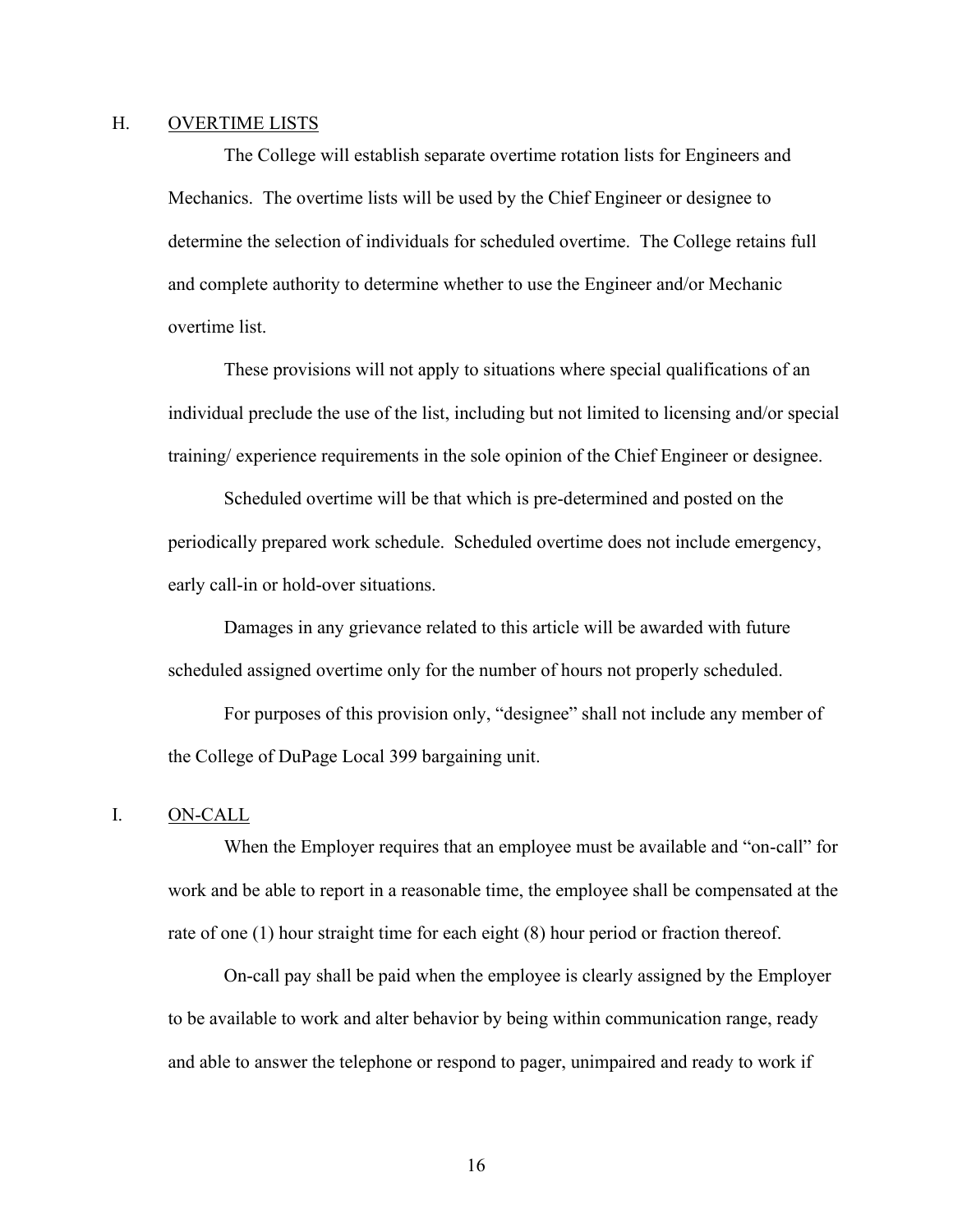### <span id="page-18-0"></span>H. OVERTIME LISTS

The College will establish separate overtime rotation lists for Engineers and Mechanics. The overtime lists will be used by the Chief Engineer or designee to determine the selection of individuals for scheduled overtime. The College retains full and complete authority to determine whether to use the Engineer and/or Mechanic overtime list.

These provisions will not apply to situations where special qualifications of an individual preclude the use of the list, including but not limited to licensing and/or special training/ experience requirements in the sole opinion of the Chief Engineer or designee.

Scheduled overtime will be that which is pre-determined and posted on the periodically prepared work schedule. Scheduled overtime does not include emergency, early call-in or hold-over situations.

Damages in any grievance related to this article will be awarded with future scheduled assigned overtime only for the number of hours not properly scheduled.

For purposes of this provision only, "designee" shall not include any member of the College of DuPage Local 399 bargaining unit.

### <span id="page-18-1"></span>I. ON-CALL

When the Employer requires that an employee must be available and "on-call" for work and be able to report in a reasonable time, the employee shall be compensated at the rate of one (1) hour straight time for each eight (8) hour period or fraction thereof.

On-call pay shall be paid when the employee is clearly assigned by the Employer to be available to work and alter behavior by being within communication range, ready and able to answer the telephone or respond to pager, unimpaired and ready to work if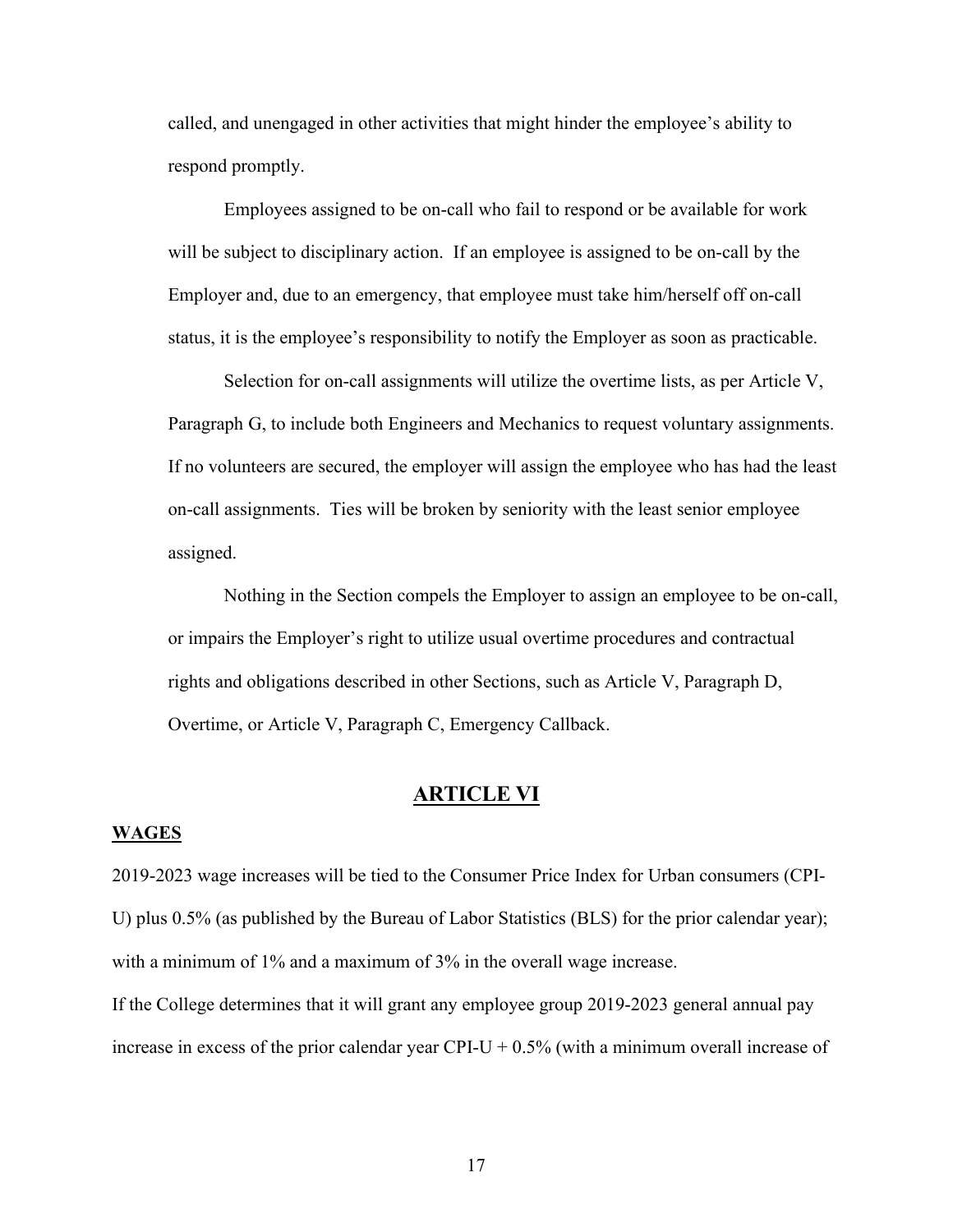called, and unengaged in other activities that might hinder the employee's ability to respond promptly.

Employees assigned to be on-call who fail to respond or be available for work will be subject to disciplinary action. If an employee is assigned to be on-call by the Employer and, due to an emergency, that employee must take him/herself off on-call status, it is the employee's responsibility to notify the Employer as soon as practicable.

Selection for on-call assignments will utilize the overtime lists, as per Article V, Paragraph G, to include both Engineers and Mechanics to request voluntary assignments. If no volunteers are secured, the employer will assign the employee who has had the least on-call assignments. Ties will be broken by seniority with the least senior employee assigned.

Nothing in the Section compels the Employer to assign an employee to be on-call, or impairs the Employer's right to utilize usual overtime procedures and contractual rights and obligations described in other Sections, such as Article V, Paragraph D, Overtime, or Article V, Paragraph C, Emergency Callback.

## **ARTICLE VI**

## <span id="page-19-1"></span><span id="page-19-0"></span>**WAGES**

2019-2023 wage increases will be tied to the Consumer Price Index for Urban consumers (CPI-U) plus 0.5% (as published by the Bureau of Labor Statistics (BLS) for the prior calendar year); with a minimum of 1% and a maximum of 3% in the overall wage increase.

If the College determines that it will grant any employee group 2019-2023 general annual pay increase in excess of the prior calendar year CPI-U +  $0.5\%$  (with a minimum overall increase of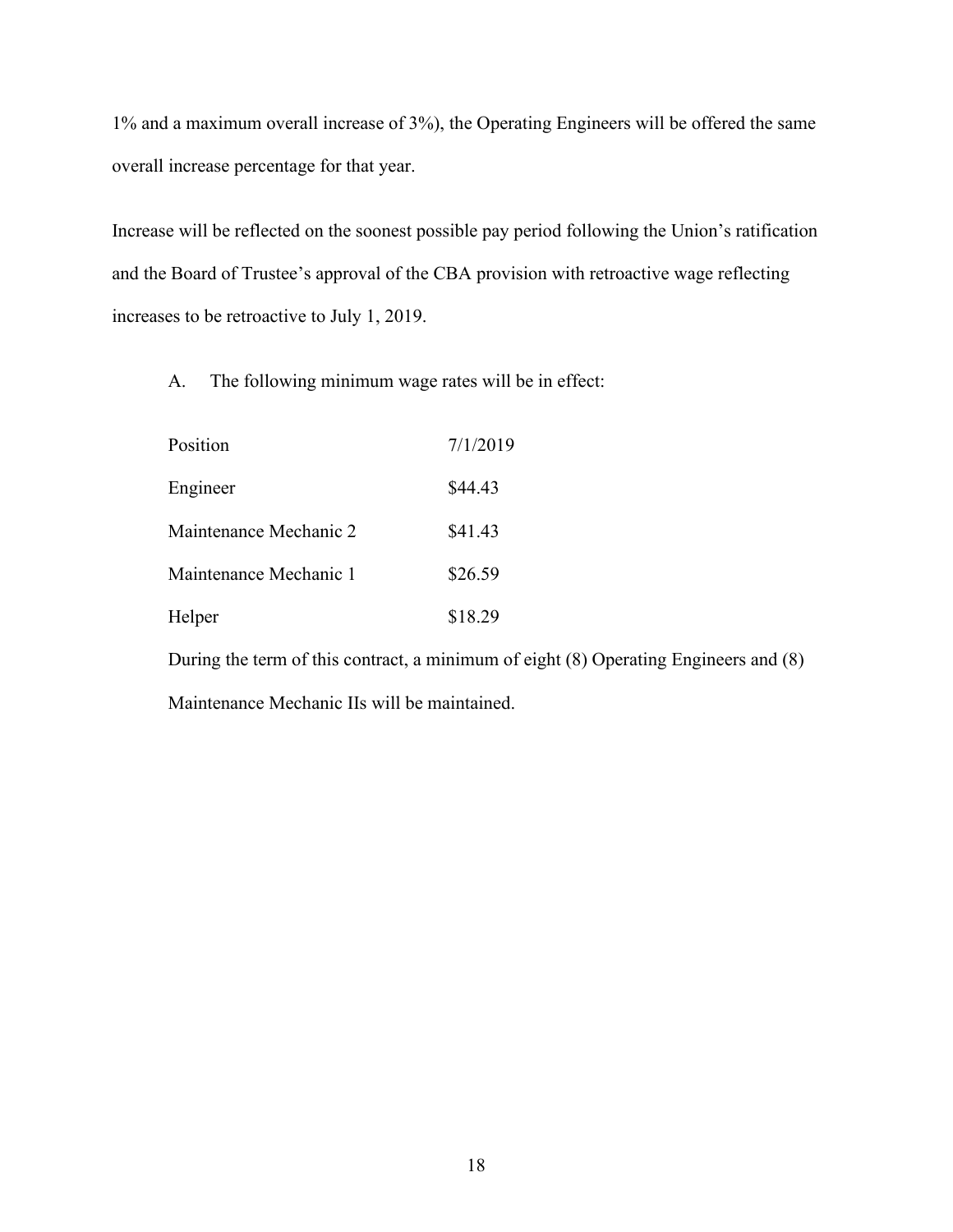1% and a maximum overall increase of 3%), the Operating Engineers will be offered the same overall increase percentage for that year.

Increase will be reflected on the soonest possible pay period following the Union's ratification and the Board of Trustee's approval of the CBA provision with retroactive wage reflecting increases to be retroactive to July 1, 2019.

A. The following minimum wage rates will be in effect:

| Position               | 7/1/2019 |
|------------------------|----------|
| Engineer               | \$44.43  |
| Maintenance Mechanic 2 | \$41.43  |
| Maintenance Mechanic 1 | \$26.59  |
| Helper                 | \$18.29  |

During the term of this contract, a minimum of eight (8) Operating Engineers and (8) Maintenance Mechanic IIs will be maintained.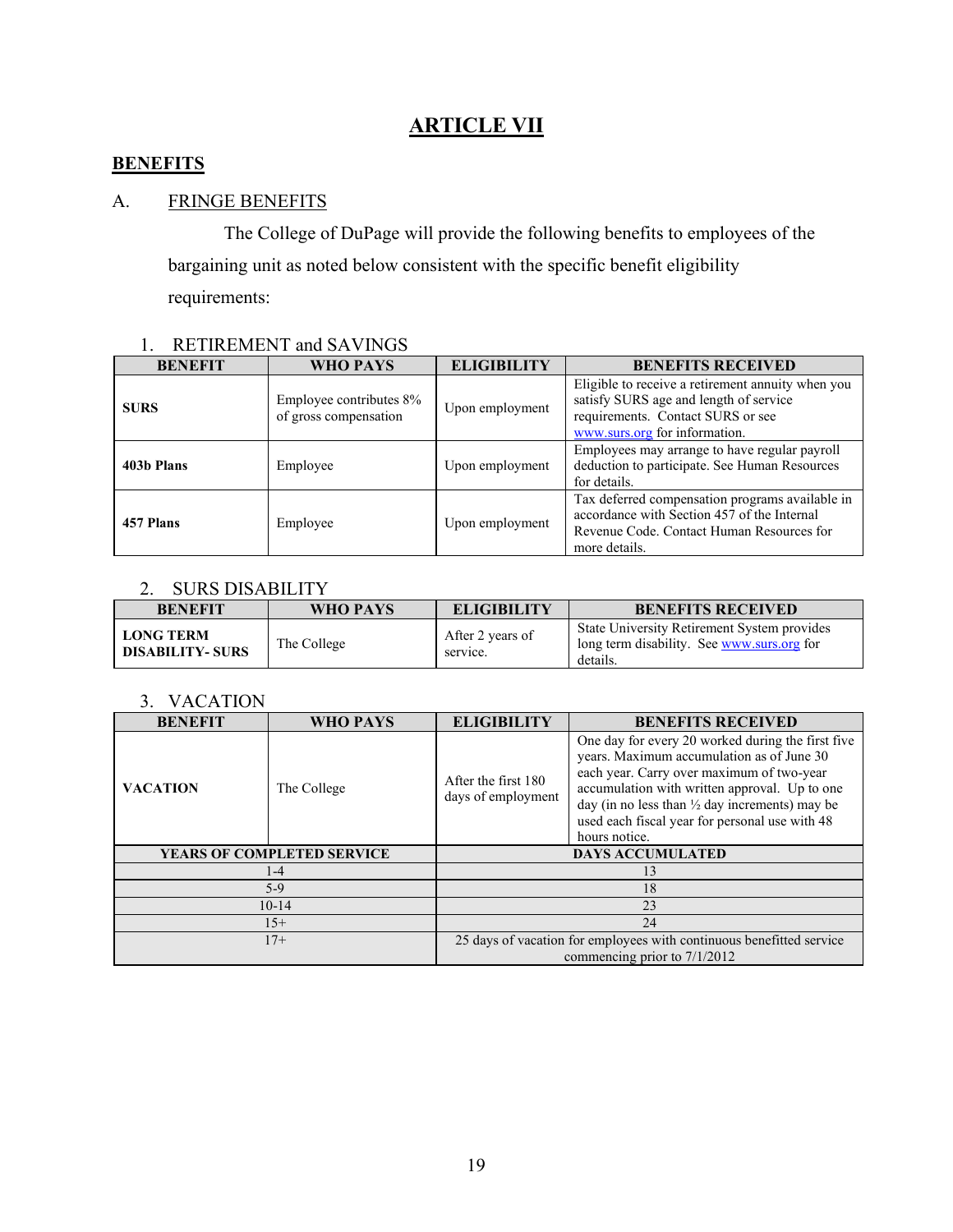## **ARTICLE VII**

## <span id="page-21-1"></span><span id="page-21-0"></span>**BENEFITS**

## <span id="page-21-2"></span>A. FRINGE BENEFITS

The College of DuPage will provide the following benefits to employees of the bargaining unit as noted below consistent with the specific benefit eligibility requirements:

## 1. RETIREMENT and SAVINGS

| <b>BENEFIT</b> | WHO PAYS                                         | <b>ELIGIBILITY</b> | <b>BENEFITS RECEIVED</b>                                                                                                                                          |
|----------------|--------------------------------------------------|--------------------|-------------------------------------------------------------------------------------------------------------------------------------------------------------------|
| <b>SURS</b>    | Employee contributes 8%<br>of gross compensation | Upon employment    | Eligible to receive a retirement annuity when you<br>satisfy SURS age and length of service<br>requirements. Contact SURS or see<br>www.surs.org for information. |
| 403b Plans     | Employee                                         | Upon employment    | Employees may arrange to have regular payroll<br>deduction to participate. See Human Resources<br>for details.                                                    |
| 457 Plans      | Employee                                         | Upon employment    | Tax deferred compensation programs available in<br>accordance with Section 457 of the Internal<br>Revenue Code. Contact Human Resources for<br>more details.      |

## 2. SURS DISABILITY

| <b>BENEFIT</b>                             | WHO PAYS    | <b>ELIGIBILITY</b>           | <b>BENEFITS RECEIVED</b>                                                                                     |
|--------------------------------------------|-------------|------------------------------|--------------------------------------------------------------------------------------------------------------|
| <b>LONG TERM</b><br><b>DISABILITY-SURS</b> | The College | After 2 years of<br>service. | <b>State University Retirement System provides</b><br>long term disability. See www.surs.org for<br>details. |

### 3. VACATION

| <b>BENEFIT</b>             | WHO PAYS    | <b>ELIGIBILITY</b>                                                                                     | <b>BENEFITS RECEIVED</b>                                                                                                                                                                                                                                                                                                     |  |
|----------------------------|-------------|--------------------------------------------------------------------------------------------------------|------------------------------------------------------------------------------------------------------------------------------------------------------------------------------------------------------------------------------------------------------------------------------------------------------------------------------|--|
| <b>VACATION</b>            | The College | After the first 180<br>days of employment                                                              | One day for every 20 worked during the first five<br>years. Maximum accumulation as of June 30<br>each year. Carry over maximum of two-year<br>accumulation with written approval. Up to one<br>day (in no less than $\frac{1}{2}$ day increments) may be<br>used each fiscal year for personal use with 48<br>hours notice. |  |
| YEARS OF COMPLETED SERVICE |             | <b>DAYS ACCUMULATED</b>                                                                                |                                                                                                                                                                                                                                                                                                                              |  |
| $1-4$                      |             | 13                                                                                                     |                                                                                                                                                                                                                                                                                                                              |  |
| $5-9$                      |             | 18                                                                                                     |                                                                                                                                                                                                                                                                                                                              |  |
| $10-14$                    |             | 23                                                                                                     |                                                                                                                                                                                                                                                                                                                              |  |
| $15+$                      |             | 24                                                                                                     |                                                                                                                                                                                                                                                                                                                              |  |
| $17+$                      |             | 25 days of vacation for employees with continuous benefitted service<br>commencing prior to $7/1/2012$ |                                                                                                                                                                                                                                                                                                                              |  |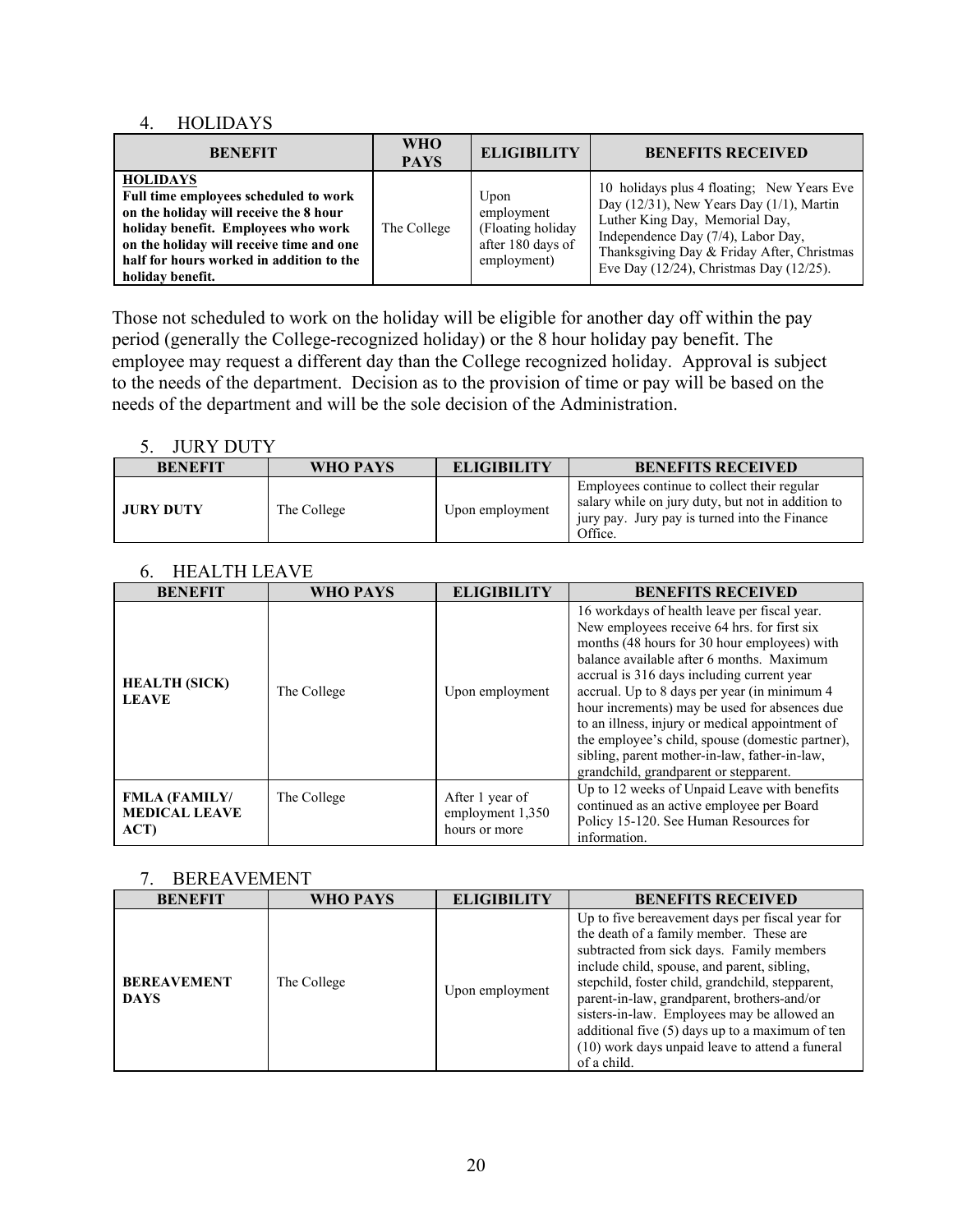### 4. HOLIDAYS

| <b>BENEFIT</b>                                                                                                                                                                                                                                        | <b>WHO</b><br><b>PAYS</b> | <b>ELIGIBILITY</b>                                                           | <b>BENEFITS RECEIVED</b>                                                                                                                                                                                                                                            |
|-------------------------------------------------------------------------------------------------------------------------------------------------------------------------------------------------------------------------------------------------------|---------------------------|------------------------------------------------------------------------------|---------------------------------------------------------------------------------------------------------------------------------------------------------------------------------------------------------------------------------------------------------------------|
| <b>HOLIDAYS</b><br>Full time employees scheduled to work<br>on the holiday will receive the 8 hour<br>holiday benefit. Employees who work<br>on the holiday will receive time and one<br>half for hours worked in addition to the<br>holiday benefit. | The College               | Upon<br>employment<br>(Floating holiday)<br>after 180 days of<br>employment) | 10 holidays plus 4 floating; New Years Eve<br>Day $(12/31)$ , New Years Day $(1/1)$ , Martin<br>Luther King Day, Memorial Day,<br>Independence Day (7/4), Labor Day,<br>Thanksgiving Day & Friday After, Christmas<br>Eve Day $(12/24)$ , Christmas Day $(12/25)$ . |

Those not scheduled to work on the holiday will be eligible for another day off within the pay period (generally the College-recognized holiday) or the 8 hour holiday pay benefit. The employee may request a different day than the College recognized holiday. Approval is subject to the needs of the department. Decision as to the provision of time or pay will be based on the needs of the department and will be the sole decision of the Administration.

#### 5. JURY DUTY

| .                |             |                    |                                                                                                                                                              |  |  |
|------------------|-------------|--------------------|--------------------------------------------------------------------------------------------------------------------------------------------------------------|--|--|
| <b>BENEFIT</b>   | WHO PAYS    | <b>ELIGIBILITY</b> | <b>BENEFITS RECEIVED</b>                                                                                                                                     |  |  |
| <b>JURY DUTY</b> | The College | Upon employment    | Employees continue to collect their regular<br>salary while on jury duty, but not in addition to<br>jury pay. Jury pay is turned into the Finance<br>Office. |  |  |

#### 6. HEALTH LEAVE

| <b>BENEFIT</b>                                       | WHO PAYS    | <b>ELIGIBILITY</b>                                   | <b>BENEFITS RECEIVED</b>                                                                                                                                                                                                                                                                                                                                                                                                                                                                                                                  |
|------------------------------------------------------|-------------|------------------------------------------------------|-------------------------------------------------------------------------------------------------------------------------------------------------------------------------------------------------------------------------------------------------------------------------------------------------------------------------------------------------------------------------------------------------------------------------------------------------------------------------------------------------------------------------------------------|
| <b>HEALTH (SICK)</b><br><b>LEAVE</b>                 | The College | Upon employment                                      | 16 workdays of health leave per fiscal year.<br>New employees receive 64 hrs. for first six<br>months (48 hours for 30 hour employees) with<br>balance available after 6 months. Maximum<br>accrual is 316 days including current year<br>accrual. Up to 8 days per year (in minimum 4<br>hour increments) may be used for absences due<br>to an illness, injury or medical appointment of<br>the employee's child, spouse (domestic partner),<br>sibling, parent mother-in-law, father-in-law,<br>grandchild, grandparent or stepparent. |
| <b>FMLA (FAMILY/</b><br><b>MEDICAL LEAVE</b><br>ACT) | The College | After 1 year of<br>employment 1,350<br>hours or more | Up to 12 weeks of Unpaid Leave with benefits<br>continued as an active employee per Board<br>Policy 15-120. See Human Resources for<br>information.                                                                                                                                                                                                                                                                                                                                                                                       |

#### 7. BEREAVEMENT

| <b>BENEFIT</b>                    | WHO PAYS    | <b>ELIGIBILITY</b> | <b>BENEFITS RECEIVED</b>                                                                                                                                                                                                                                                                                                                                                                                                                                      |
|-----------------------------------|-------------|--------------------|---------------------------------------------------------------------------------------------------------------------------------------------------------------------------------------------------------------------------------------------------------------------------------------------------------------------------------------------------------------------------------------------------------------------------------------------------------------|
| <b>BEREAVEMENT</b><br><b>DAYS</b> | The College | Upon employment    | Up to five bereavement days per fiscal year for<br>the death of a family member. These are<br>subtracted from sick days. Family members<br>include child, spouse, and parent, sibling,<br>stepchild, foster child, grandchild, stepparent,<br>parent-in-law, grandparent, brothers-and/or<br>sisters-in-law. Employees may be allowed an<br>additional five (5) days up to a maximum of ten<br>(10) work days unpaid leave to attend a funeral<br>of a child. |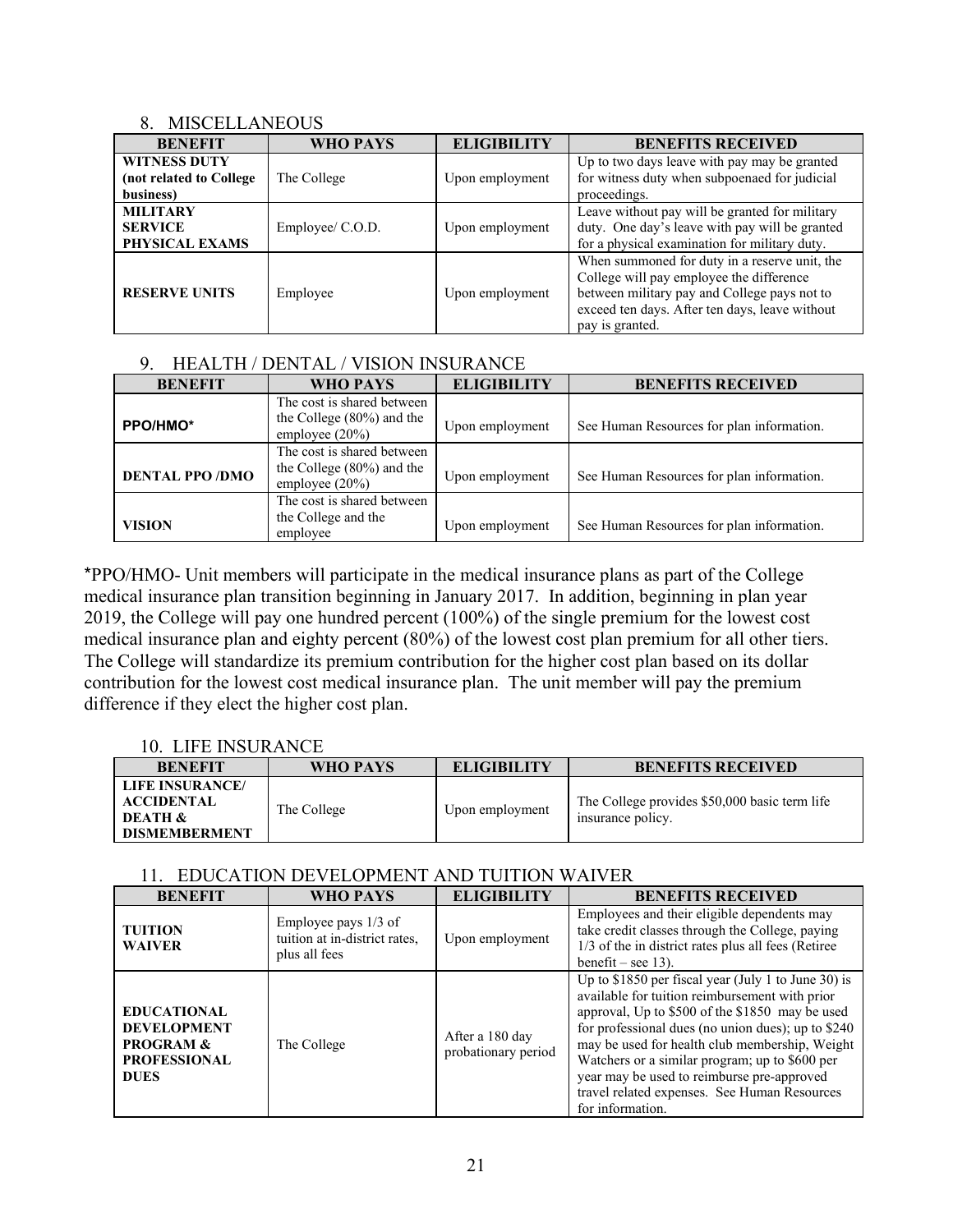#### 8. MISCELLANEOUS

| <b>BENEFIT</b>                                              | WHO PAYS         | <b>ELIGIBILITY</b> | <b>BENEFITS RECEIVED</b>                                                                                                                                                                                       |
|-------------------------------------------------------------|------------------|--------------------|----------------------------------------------------------------------------------------------------------------------------------------------------------------------------------------------------------------|
| <b>WITNESS DUTY</b><br>(not related to College<br>business) | The College      | Upon employment    | Up to two days leave with pay may be granted<br>for witness duty when subpoenaed for judicial<br>proceedings.                                                                                                  |
| <b>MILITARY</b><br><b>SERVICE</b><br>PHYSICAL EXAMS         | Employee/ C.O.D. | Upon employment    | Leave without pay will be granted for military<br>duty. One day's leave with pay will be granted<br>for a physical examination for military duty.                                                              |
| <b>RESERVE UNITS</b>                                        | Employee         | Upon employment    | When summoned for duty in a reserve unit, the<br>College will pay employee the difference<br>between military pay and College pays not to<br>exceed ten days. After ten days, leave without<br>pay is granted. |

## 9. HEALTH / DENTAL / VISION INSURANCE

| <b>BENEFIT</b>        | WHO PAYS                                                                        | <b>ELIGIBILITY</b> | <b>BENEFITS RECEIVED</b>                  |
|-----------------------|---------------------------------------------------------------------------------|--------------------|-------------------------------------------|
| PPO/HMO*              | The cost is shared between<br>the College (80%) and the<br>employee $(20\%)$    | Upon employment    | See Human Resources for plan information. |
| <b>DENTAL PPO/DMO</b> | The cost is shared between<br>the College $(80\%)$ and the<br>employee $(20\%)$ | Upon employment    | See Human Resources for plan information. |
| <b>VISION</b>         | The cost is shared between<br>the College and the<br>employee                   | Upon employment    | See Human Resources for plan information. |

\*PPO/HMO- Unit members will participate in the medical insurance plans as part of the College medical insurance plan transition beginning in January 2017. In addition, beginning in plan year 2019, the College will pay one hundred percent (100%) of the single premium for the lowest cost medical insurance plan and eighty percent (80%) of the lowest cost plan premium for all other tiers. The College will standardize its premium contribution for the higher cost plan based on its dollar contribution for the lowest cost medical insurance plan. The unit member will pay the premium difference if they elect the higher cost plan.

## 10. LIFE INSURANCE

| <b>BENEFIT</b>                                                                     | WHO PAYS    | <b>ELIGIBILITY</b> | <b>BENEFITS RECEIVED</b>                                           |
|------------------------------------------------------------------------------------|-------------|--------------------|--------------------------------------------------------------------|
| <b>LIFE INSURANCE/</b><br>ACCIDENTAL<br><b>DEATH &amp;</b><br><b>DISMEMBERMENT</b> | The College | Upon employment    | The College provides \$50,000 basic term life<br>insurance policy. |

## 11. EDUCATION DEVELOPMENT AND TUITION WAIVER

| <b>BENEFIT</b>                                                                                         | WHO PAYS                                                               | <b>ELIGIBILITY</b>                     | <b>BENEFITS RECEIVED</b>                                                                                                                                                                                                                                                                                                                                                                                                             |
|--------------------------------------------------------------------------------------------------------|------------------------------------------------------------------------|----------------------------------------|--------------------------------------------------------------------------------------------------------------------------------------------------------------------------------------------------------------------------------------------------------------------------------------------------------------------------------------------------------------------------------------------------------------------------------------|
| <b>TUITION</b><br><b>WAIVER</b>                                                                        | Employee pays 1/3 of<br>tuition at in-district rates,<br>plus all fees | Upon employment                        | Employees and their eligible dependents may<br>take credit classes through the College, paying<br>1/3 of the in district rates plus all fees (Retiree<br>benefit – see 13).                                                                                                                                                                                                                                                          |
| <b>EDUCATIONAL</b><br><b>DEVELOPMENT</b><br><b>PROGRAM &amp;</b><br><b>PROFESSIONAL</b><br><b>DUES</b> | The College                                                            | After a 180 day<br>probationary period | Up to \$1850 per fiscal year (July 1 to June 30) is<br>available for tuition reimbursement with prior<br>approval, Up to \$500 of the \$1850 may be used<br>for professional dues (no union dues); up to \$240<br>may be used for health club membership, Weight<br>Watchers or a similar program; up to \$600 per<br>year may be used to reimburse pre-approved<br>travel related expenses. See Human Resources<br>for information. |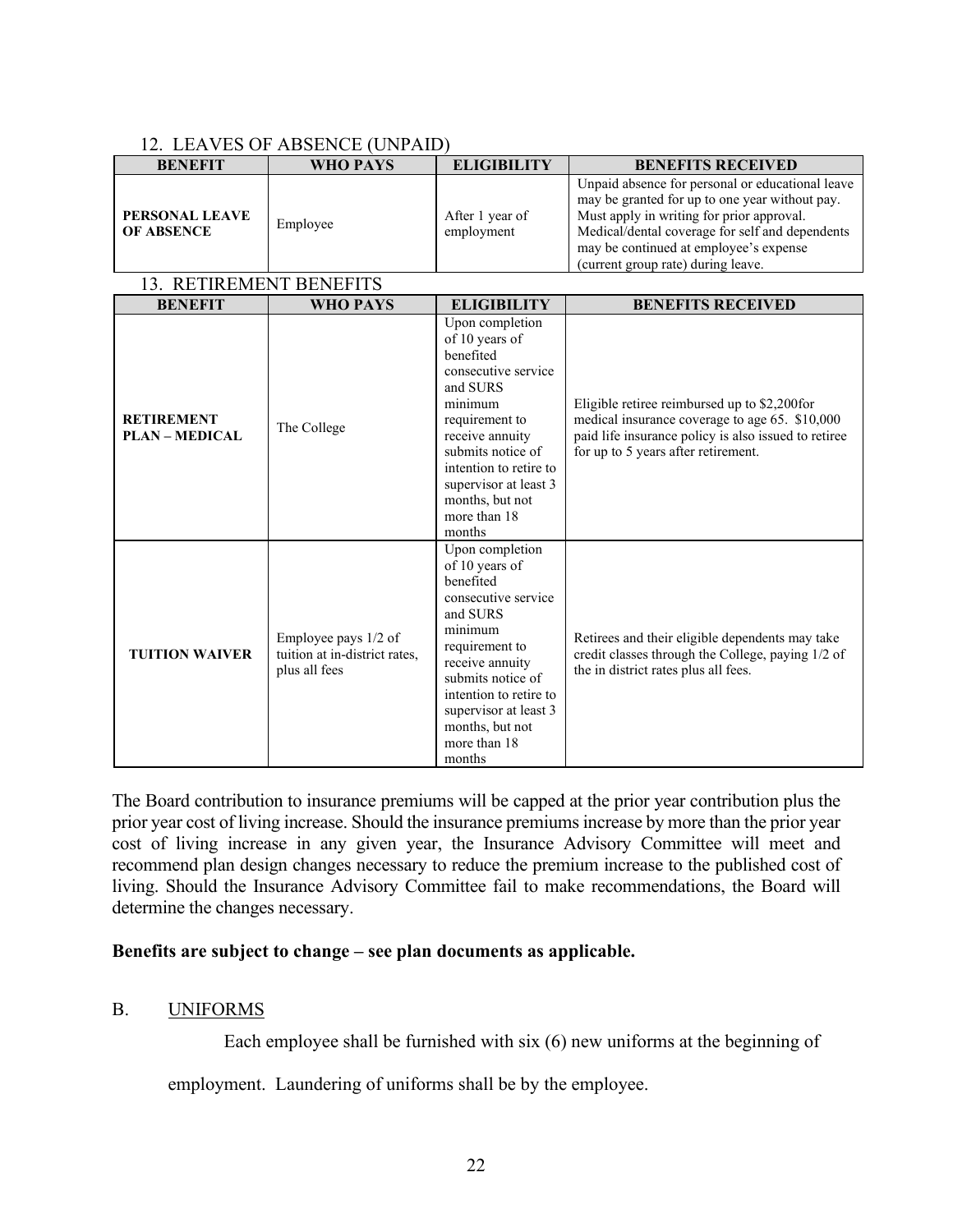## 12. LEAVES OF ABSENCE (UNPAID)

| <b>BENEFIT</b>                             | <b>WHO PAYS</b>                                                        | <b>ELIGIBILITY</b>                                                                                                                                                                                                                                     | <b>BENEFITS RECEIVED</b>                                                                                                                                                                                                                                                           |  |  |  |
|--------------------------------------------|------------------------------------------------------------------------|--------------------------------------------------------------------------------------------------------------------------------------------------------------------------------------------------------------------------------------------------------|------------------------------------------------------------------------------------------------------------------------------------------------------------------------------------------------------------------------------------------------------------------------------------|--|--|--|
| PERSONAL LEAVE<br><b>OF ABSENCE</b>        | Employee                                                               | After 1 year of<br>employment                                                                                                                                                                                                                          | Unpaid absence for personal or educational leave<br>may be granted for up to one year without pay.<br>Must apply in writing for prior approval.<br>Medical/dental coverage for self and dependents<br>may be continued at employee's expense<br>(current group rate) during leave. |  |  |  |
| 13. RETIREMENT BENEFITS                    |                                                                        |                                                                                                                                                                                                                                                        |                                                                                                                                                                                                                                                                                    |  |  |  |
| <b>BENEFIT</b>                             | <b>WHO PAYS</b>                                                        | <b>ELIGIBILITY</b>                                                                                                                                                                                                                                     | <b>BENEFITS RECEIVED</b>                                                                                                                                                                                                                                                           |  |  |  |
| <b>RETIREMENT</b><br><b>PLAN - MEDICAL</b> | The College                                                            | Upon completion<br>of 10 years of<br>benefited<br>consecutive service<br>and SURS<br>minimum<br>requirement to<br>receive annuity<br>submits notice of<br>intention to retire to<br>supervisor at least 3<br>months, but not<br>more than 18<br>months | Eligible retiree reimbursed up to \$2,200for<br>medical insurance coverage to age 65. \$10,000<br>paid life insurance policy is also issued to retiree<br>for up to 5 years after retirement.                                                                                      |  |  |  |
| <b>TUITION WAIVER</b>                      | Employee pays 1/2 of<br>tuition at in-district rates,<br>plus all fees | Upon completion<br>of 10 years of<br>benefited<br>consecutive service<br>and SURS<br>minimum<br>requirement to<br>receive annuity<br>submits notice of<br>intention to retire to<br>supervisor at least 3<br>months, but not<br>more than 18<br>months | Retirees and their eligible dependents may take<br>credit classes through the College, paying 1/2 of<br>the in district rates plus all fees.                                                                                                                                       |  |  |  |

The Board contribution to insurance premiums will be capped at the prior year contribution plus the prior year cost of living increase. Should the insurance premiums increase by more than the prior year cost of living increase in any given year, the Insurance Advisory Committee will meet and recommend plan design changes necessary to reduce the premium increase to the published cost of living. Should the Insurance Advisory Committee fail to make recommendations, the Board will determine the changes necessary.

## **Benefits are subject to change – see plan documents as applicable.**

## <span id="page-24-0"></span>B. UNIFORMS

Each employee shall be furnished with six (6) new uniforms at the beginning of

employment. Laundering of uniforms shall be by the employee.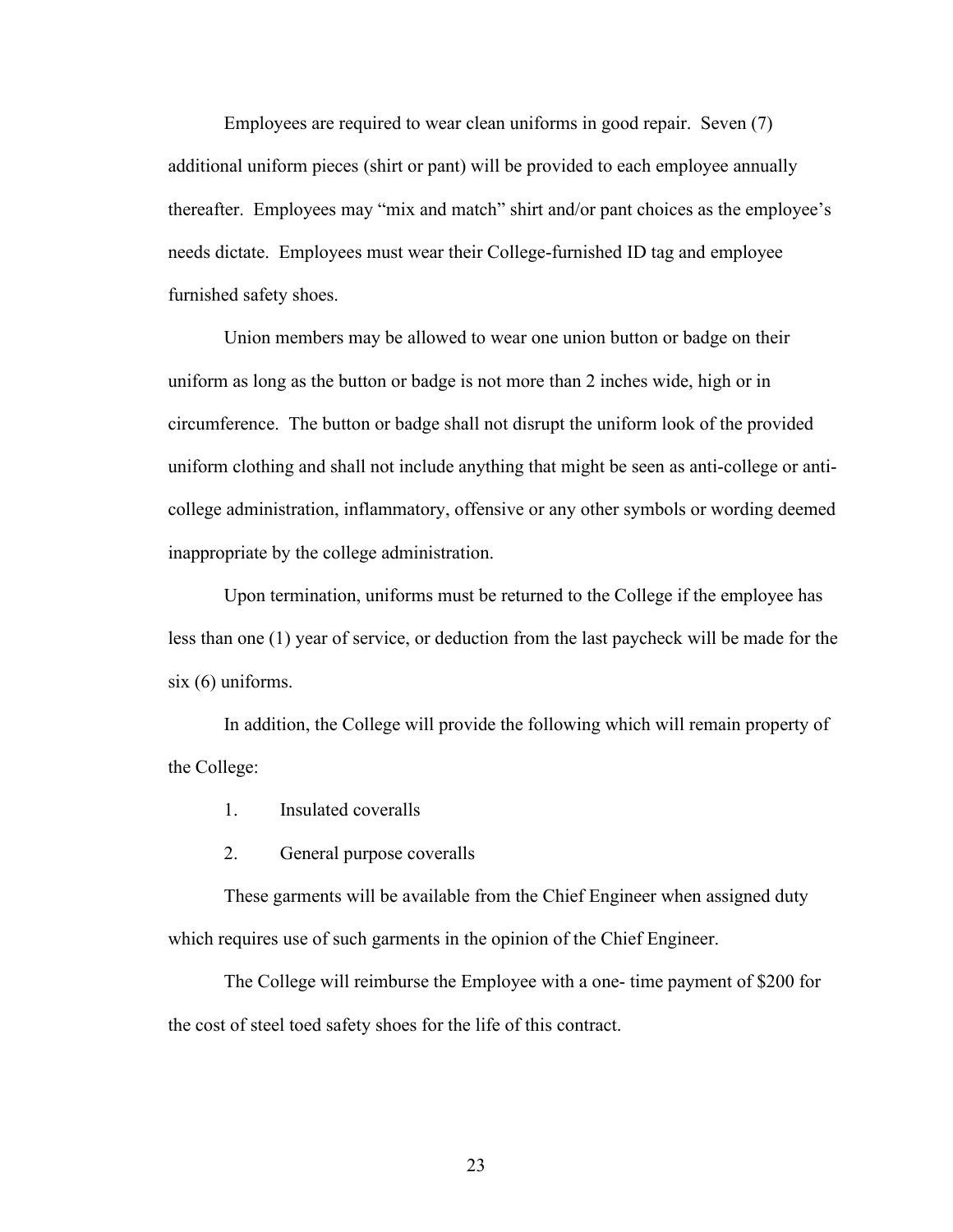Employees are required to wear clean uniforms in good repair. Seven (7) additional uniform pieces (shirt or pant) will be provided to each employee annually thereafter. Employees may "mix and match" shirt and/or pant choices as the employee's needs dictate. Employees must wear their College-furnished ID tag and employee furnished safety shoes.

Union members may be allowed to wear one union button or badge on their uniform as long as the button or badge is not more than 2 inches wide, high or in circumference. The button or badge shall not disrupt the uniform look of the provided uniform clothing and shall not include anything that might be seen as anti-college or anticollege administration, inflammatory, offensive or any other symbols or wording deemed inappropriate by the college administration.

Upon termination, uniforms must be returned to the College if the employee has less than one (1) year of service, or deduction from the last paycheck will be made for the six (6) uniforms.

In addition, the College will provide the following which will remain property of the College:

- 1. Insulated coveralls
- 2. General purpose coveralls

These garments will be available from the Chief Engineer when assigned duty which requires use of such garments in the opinion of the Chief Engineer.

The College will reimburse the Employee with a one- time payment of \$200 for the cost of steel toed safety shoes for the life of this contract.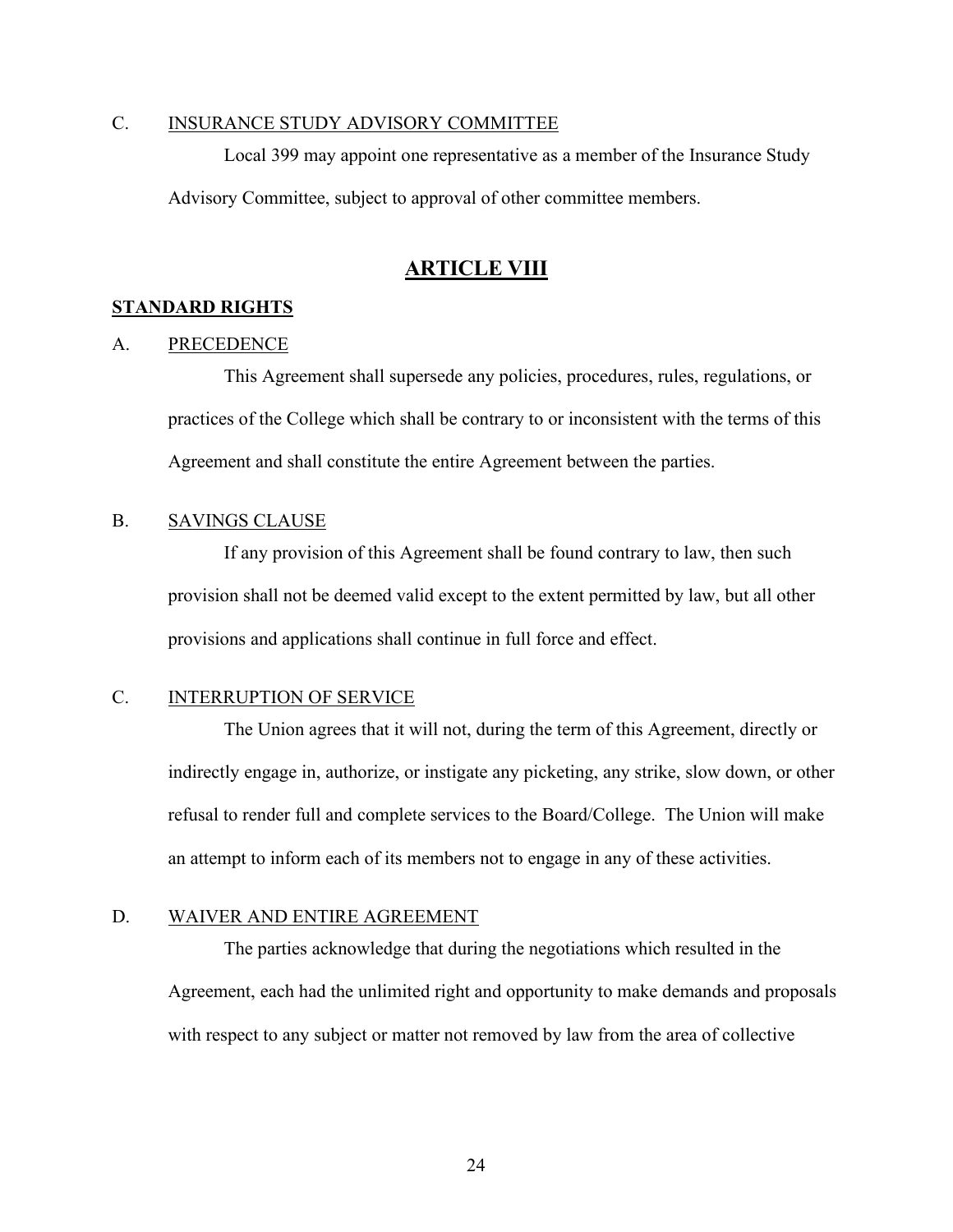## <span id="page-26-0"></span>C. INSURANCE STUDY ADVISORY COMMITTEE

Local 399 may appoint one representative as a member of the Insurance Study Advisory Committee, subject to approval of other committee members.

## **ARTICLE VIII**

### <span id="page-26-3"></span><span id="page-26-2"></span><span id="page-26-1"></span>**STANDARD RIGHTS**

#### A. PRECEDENCE

This Agreement shall supersede any policies, procedures, rules, regulations, or practices of the College which shall be contrary to or inconsistent with the terms of this Agreement and shall constitute the entire Agreement between the parties.

#### <span id="page-26-4"></span>B. SAVINGS CLAUSE

If any provision of this Agreement shall be found contrary to law, then such provision shall not be deemed valid except to the extent permitted by law, but all other provisions and applications shall continue in full force and effect.

## <span id="page-26-5"></span>C. INTERRUPTION OF SERVICE

The Union agrees that it will not, during the term of this Agreement, directly or indirectly engage in, authorize, or instigate any picketing, any strike, slow down, or other refusal to render full and complete services to the Board/College. The Union will make an attempt to inform each of its members not to engage in any of these activities.

#### <span id="page-26-6"></span>D. WAIVER AND ENTIRE AGREEMENT

The parties acknowledge that during the negotiations which resulted in the Agreement, each had the unlimited right and opportunity to make demands and proposals with respect to any subject or matter not removed by law from the area of collective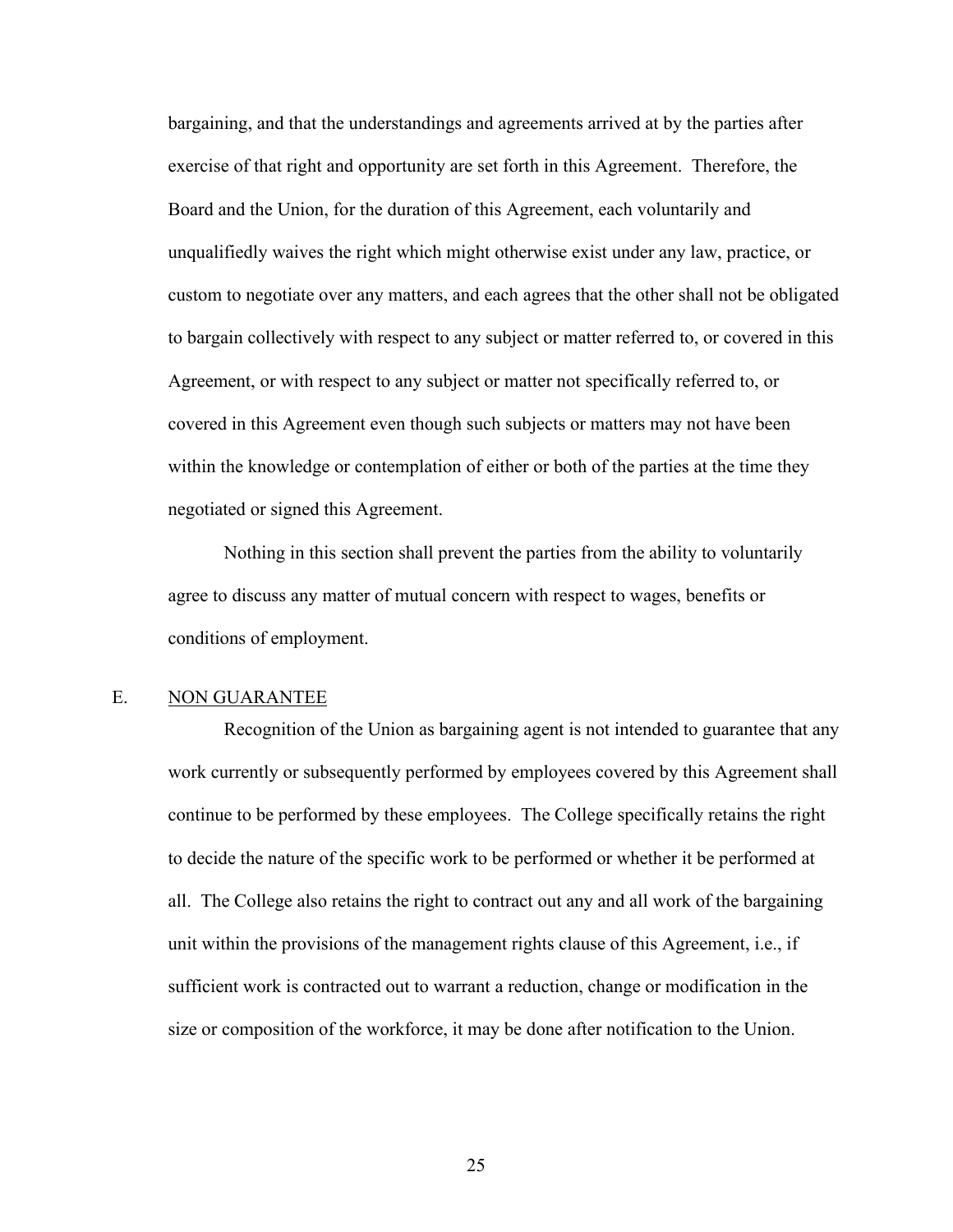bargaining, and that the understandings and agreements arrived at by the parties after exercise of that right and opportunity are set forth in this Agreement. Therefore, the Board and the Union, for the duration of this Agreement, each voluntarily and unqualifiedly waives the right which might otherwise exist under any law, practice, or custom to negotiate over any matters, and each agrees that the other shall not be obligated to bargain collectively with respect to any subject or matter referred to, or covered in this Agreement, or with respect to any subject or matter not specifically referred to, or covered in this Agreement even though such subjects or matters may not have been within the knowledge or contemplation of either or both of the parties at the time they negotiated or signed this Agreement.

Nothing in this section shall prevent the parties from the ability to voluntarily agree to discuss any matter of mutual concern with respect to wages, benefits or conditions of employment.

## <span id="page-27-0"></span>E. NON GUARANTEE

Recognition of the Union as bargaining agent is not intended to guarantee that any work currently or subsequently performed by employees covered by this Agreement shall continue to be performed by these employees. The College specifically retains the right to decide the nature of the specific work to be performed or whether it be performed at all. The College also retains the right to contract out any and all work of the bargaining unit within the provisions of the management rights clause of this Agreement, i.e., if sufficient work is contracted out to warrant a reduction, change or modification in the size or composition of the workforce, it may be done after notification to the Union.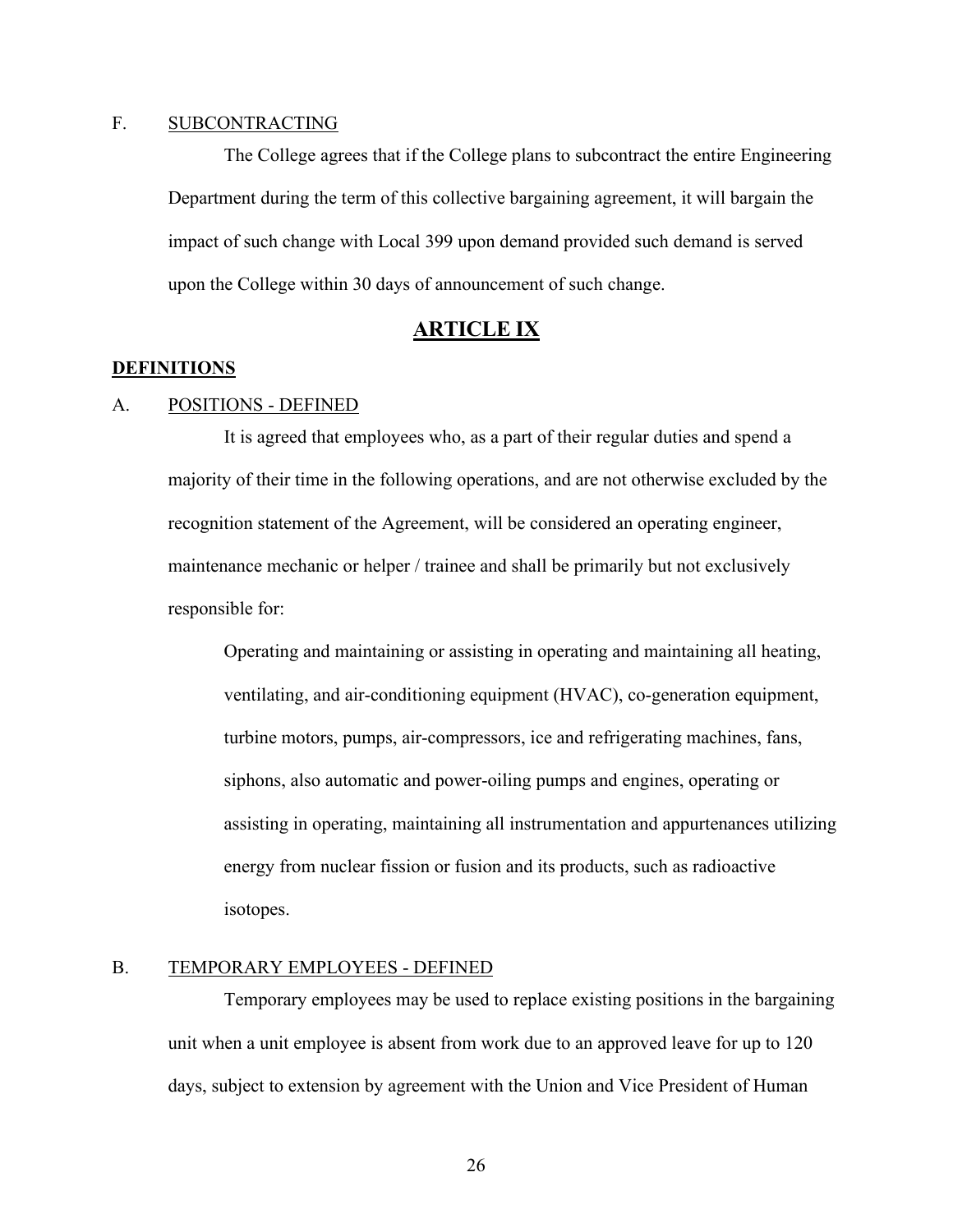## <span id="page-28-0"></span>F. SUBCONTRACTING

The College agrees that if the College plans to subcontract the entire Engineering Department during the term of this collective bargaining agreement, it will bargain the impact of such change with Local 399 upon demand provided such demand is served upon the College within 30 days of announcement of such change.

## **ARTICLE IX**

#### <span id="page-28-2"></span><span id="page-28-1"></span>**DEFINITIONS**

### <span id="page-28-3"></span>A. POSITIONS - DEFINED

It is agreed that employees who, as a part of their regular duties and spend a majority of their time in the following operations, and are not otherwise excluded by the recognition statement of the Agreement, will be considered an operating engineer, maintenance mechanic or helper / trainee and shall be primarily but not exclusively responsible for:

Operating and maintaining or assisting in operating and maintaining all heating, ventilating, and air-conditioning equipment (HVAC), co-generation equipment, turbine motors, pumps, air-compressors, ice and refrigerating machines, fans, siphons, also automatic and power-oiling pumps and engines, operating or assisting in operating, maintaining all instrumentation and appurtenances utilizing energy from nuclear fission or fusion and its products, such as radioactive isotopes.

### <span id="page-28-4"></span>B. TEMPORARY EMPLOYEES - DEFINED

Temporary employees may be used to replace existing positions in the bargaining unit when a unit employee is absent from work due to an approved leave for up to 120 days, subject to extension by agreement with the Union and Vice President of Human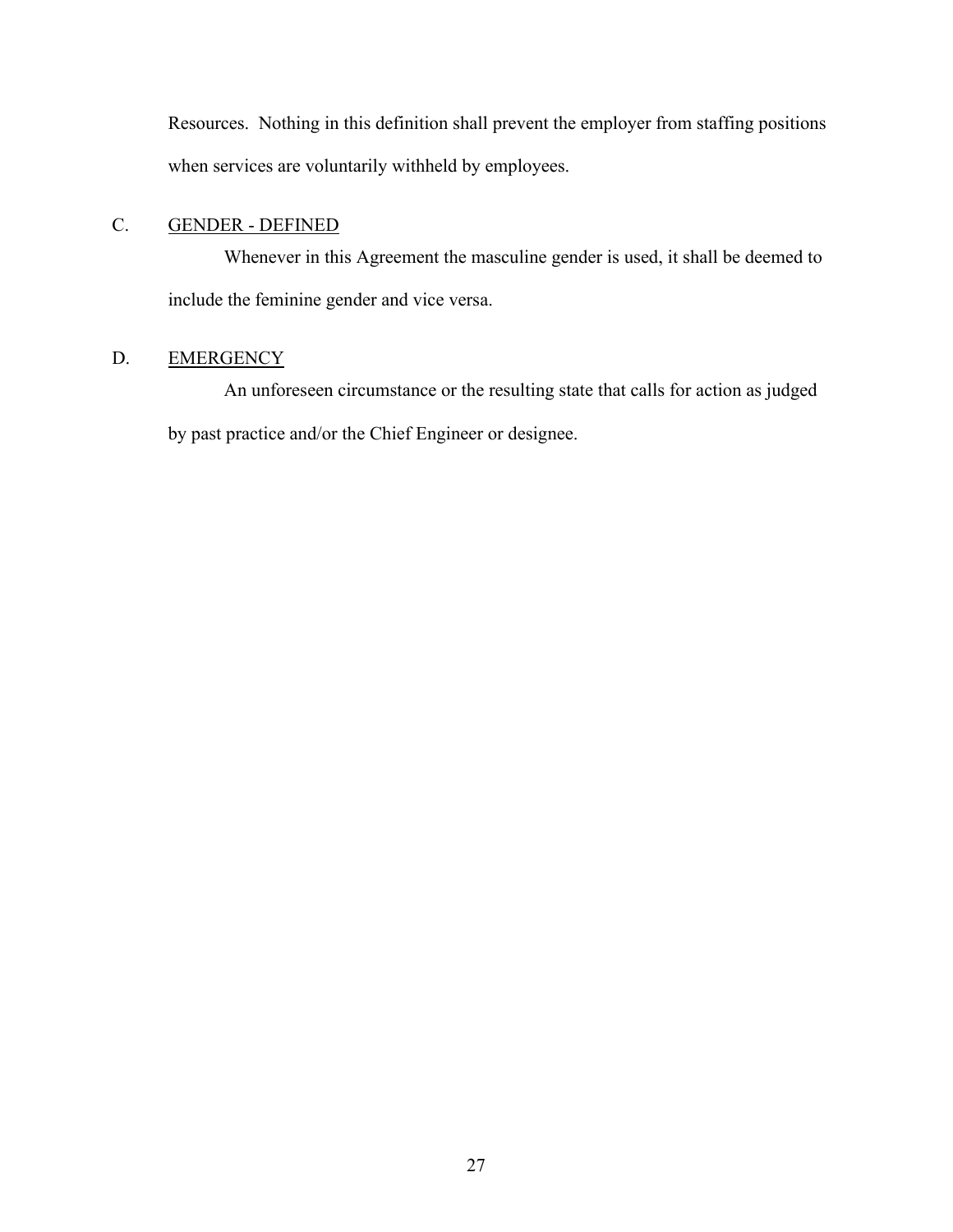Resources. Nothing in this definition shall prevent the employer from staffing positions when services are voluntarily withheld by employees.

## <span id="page-29-0"></span>C. GENDER - DEFINED

Whenever in this Agreement the masculine gender is used, it shall be deemed to include the feminine gender and vice versa.

## <span id="page-29-1"></span>D. EMERGENCY

An unforeseen circumstance or the resulting state that calls for action as judged by past practice and/or the Chief Engineer or designee.